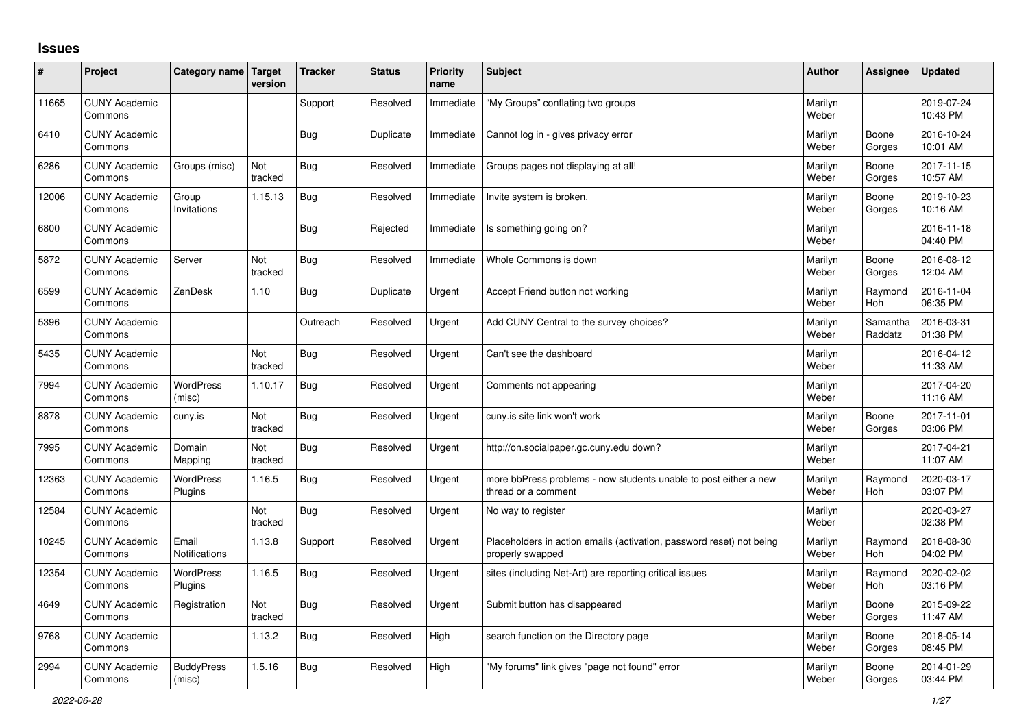## **Issues**

| #     | Project                         | Category name                 | <b>Target</b><br>version | <b>Tracker</b> | <b>Status</b> | <b>Priority</b><br>name | <b>Subject</b>                                                                           | <b>Author</b>    | Assignee              | <b>Updated</b>         |
|-------|---------------------------------|-------------------------------|--------------------------|----------------|---------------|-------------------------|------------------------------------------------------------------------------------------|------------------|-----------------------|------------------------|
| 11665 | <b>CUNY Academic</b><br>Commons |                               |                          | Support        | Resolved      | Immediate               | "My Groups" conflating two groups                                                        | Marilyn<br>Weber |                       | 2019-07-24<br>10:43 PM |
| 6410  | <b>CUNY Academic</b><br>Commons |                               |                          | Bug            | Duplicate     | Immediate               | Cannot log in - gives privacy error                                                      | Marilyn<br>Weber | Boone<br>Gorges       | 2016-10-24<br>10:01 AM |
| 6286  | <b>CUNY Academic</b><br>Commons | Groups (misc)                 | Not<br>tracked           | <b>Bug</b>     | Resolved      | Immediate               | Groups pages not displaying at all!                                                      | Marilyn<br>Weber | Boone<br>Gorges       | 2017-11-15<br>10:57 AM |
| 12006 | <b>CUNY Academic</b><br>Commons | Group<br>Invitations          | 1.15.13                  | Bug            | Resolved      | Immediate               | Invite system is broken.                                                                 | Marilyn<br>Weber | Boone<br>Gorges       | 2019-10-23<br>10:16 AM |
| 6800  | <b>CUNY Academic</b><br>Commons |                               |                          | <b>Bug</b>     | Rejected      | Immediate               | Is something going on?                                                                   | Marilyn<br>Weber |                       | 2016-11-18<br>04:40 PM |
| 5872  | <b>CUNY Academic</b><br>Commons | Server                        | Not<br>tracked           | Bug            | Resolved      | Immediate               | Whole Commons is down                                                                    | Marilyn<br>Weber | Boone<br>Gorges       | 2016-08-12<br>12:04 AM |
| 6599  | <b>CUNY Academic</b><br>Commons | ZenDesk                       | 1.10                     | <b>Bug</b>     | Duplicate     | Urgent                  | Accept Friend button not working                                                         | Marilyn<br>Weber | Raymond<br>Hoh        | 2016-11-04<br>06:35 PM |
| 5396  | <b>CUNY Academic</b><br>Commons |                               |                          | Outreach       | Resolved      | Urgent                  | Add CUNY Central to the survey choices?                                                  | Marilyn<br>Weber | Samantha<br>Raddatz   | 2016-03-31<br>01:38 PM |
| 5435  | <b>CUNY Academic</b><br>Commons |                               | Not<br>tracked           | <b>Bug</b>     | Resolved      | Urgent                  | Can't see the dashboard                                                                  | Marilyn<br>Weber |                       | 2016-04-12<br>11:33 AM |
| 7994  | <b>CUNY Academic</b><br>Commons | WordPress<br>(misc)           | 1.10.17                  | <b>Bug</b>     | Resolved      | Urgent                  | Comments not appearing                                                                   | Marilyn<br>Weber |                       | 2017-04-20<br>11:16 AM |
| 8878  | <b>CUNY Academic</b><br>Commons | cuny.is                       | Not<br>tracked           | <b>Bug</b>     | Resolved      | Urgent                  | cuny is site link won't work                                                             | Marilyn<br>Weber | Boone<br>Gorges       | 2017-11-01<br>03:06 PM |
| 7995  | <b>CUNY Academic</b><br>Commons | Domain<br>Mapping             | Not<br>tracked           | <b>Bug</b>     | Resolved      | Urgent                  | http://on.socialpaper.gc.cuny.edu down?                                                  | Marilyn<br>Weber |                       | 2017-04-21<br>11:07 AM |
| 12363 | <b>CUNY Academic</b><br>Commons | <b>WordPress</b><br>Plugins   | 1.16.5                   | Bug            | Resolved      | Urgent                  | more bbPress problems - now students unable to post either a new<br>thread or a comment  | Marilyn<br>Weber | Raymond<br><b>Hoh</b> | 2020-03-17<br>03:07 PM |
| 12584 | <b>CUNY Academic</b><br>Commons |                               | Not<br>tracked           | <b>Bug</b>     | Resolved      | Urgent                  | No way to register                                                                       | Marilyn<br>Weber |                       | 2020-03-27<br>02:38 PM |
| 10245 | <b>CUNY Academic</b><br>Commons | Email<br><b>Notifications</b> | 1.13.8                   | Support        | Resolved      | Urgent                  | Placeholders in action emails (activation, password reset) not being<br>properly swapped | Marilyn<br>Weber | Raymond<br><b>Hoh</b> | 2018-08-30<br>04:02 PM |
| 12354 | <b>CUNY Academic</b><br>Commons | <b>WordPress</b><br>Plugins   | 1.16.5                   | <b>Bug</b>     | Resolved      | Urgent                  | sites (including Net-Art) are reporting critical issues                                  | Marilyn<br>Weber | Raymond<br>Hoh        | 2020-02-02<br>03:16 PM |
| 4649  | <b>CUNY Academic</b><br>Commons | Registration                  | Not<br>tracked           | <b>Bug</b>     | Resolved      | Urgent                  | Submit button has disappeared                                                            | Marilyn<br>Weber | Boone<br>Gorges       | 2015-09-22<br>11:47 AM |
| 9768  | <b>CUNY Academic</b><br>Commons |                               | 1.13.2                   | Bug            | Resolved      | High                    | search function on the Directory page                                                    | Marilyn<br>Weber | Boone<br>Gorges       | 2018-05-14<br>08:45 PM |
| 2994  | <b>CUNY Academic</b><br>Commons | <b>BuddyPress</b><br>(misc)   | 1.5.16                   | Bug            | Resolved      | High                    | "My forums" link gives "page not found" error                                            | Marilyn<br>Weber | Boone<br>Gorges       | 2014-01-29<br>03:44 PM |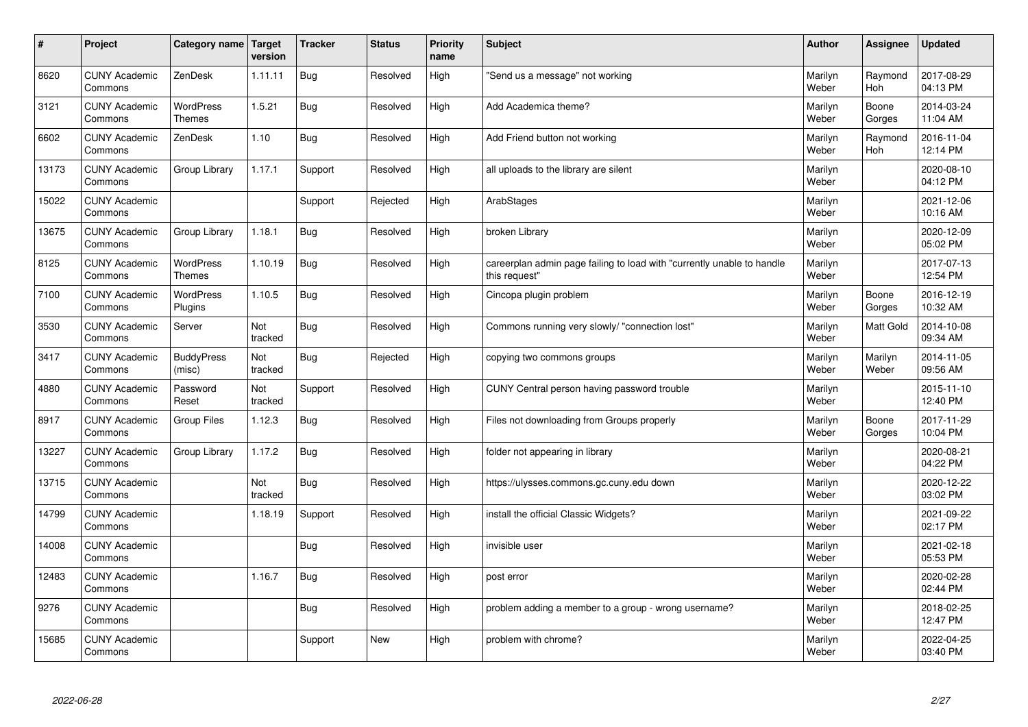| $\vert$ # | Project                         | Category name   Target            | version        | <b>Tracker</b> | <b>Status</b> | <b>Priority</b><br>name | <b>Subject</b>                                                                          | <b>Author</b>    | Assignee              | <b>Updated</b>         |
|-----------|---------------------------------|-----------------------------------|----------------|----------------|---------------|-------------------------|-----------------------------------------------------------------------------------------|------------------|-----------------------|------------------------|
| 8620      | <b>CUNY Academic</b><br>Commons | ZenDesk                           | 1.11.11        | <b>Bug</b>     | Resolved      | High                    | 'Send us a message" not working                                                         | Marilyn<br>Weber | Raymond<br><b>Hoh</b> | 2017-08-29<br>04:13 PM |
| 3121      | <b>CUNY Academic</b><br>Commons | <b>WordPress</b><br><b>Themes</b> | 1.5.21         | <b>Bug</b>     | Resolved      | High                    | Add Academica theme?                                                                    | Marilyn<br>Weber | Boone<br>Gorges       | 2014-03-24<br>11:04 AM |
| 6602      | <b>CUNY Academic</b><br>Commons | ZenDesk                           | 1.10           | <b>Bug</b>     | Resolved      | High                    | Add Friend button not working                                                           | Marilyn<br>Weber | Raymond<br><b>Hoh</b> | 2016-11-04<br>12:14 PM |
| 13173     | <b>CUNY Academic</b><br>Commons | Group Library                     | 1.17.1         | Support        | Resolved      | High                    | all uploads to the library are silent                                                   | Marilyn<br>Weber |                       | 2020-08-10<br>04:12 PM |
| 15022     | <b>CUNY Academic</b><br>Commons |                                   |                | Support        | Rejected      | High                    | ArabStages                                                                              | Marilyn<br>Weber |                       | 2021-12-06<br>10:16 AM |
| 13675     | <b>CUNY Academic</b><br>Commons | Group Library                     | 1.18.1         | <b>Bug</b>     | Resolved      | High                    | broken Library                                                                          | Marilyn<br>Weber |                       | 2020-12-09<br>05:02 PM |
| 8125      | <b>CUNY Academic</b><br>Commons | <b>WordPress</b><br>Themes        | 1.10.19        | <b>Bug</b>     | Resolved      | High                    | careerplan admin page failing to load with "currently unable to handle<br>this request" | Marilyn<br>Weber |                       | 2017-07-13<br>12:54 PM |
| 7100      | <b>CUNY Academic</b><br>Commons | <b>WordPress</b><br>Plugins       | 1.10.5         | <b>Bug</b>     | Resolved      | High                    | Cincopa plugin problem                                                                  | Marilyn<br>Weber | Boone<br>Gorges       | 2016-12-19<br>10:32 AM |
| 3530      | <b>CUNY Academic</b><br>Commons | Server                            | Not<br>tracked | <b>Bug</b>     | Resolved      | High                    | Commons running very slowly/ "connection lost"                                          | Marilyn<br>Weber | Matt Gold             | 2014-10-08<br>09:34 AM |
| 3417      | <b>CUNY Academic</b><br>Commons | <b>BuddyPress</b><br>(misc)       | Not<br>tracked | <b>Bug</b>     | Rejected      | High                    | copying two commons groups                                                              | Marilyn<br>Weber | Marilyn<br>Weber      | 2014-11-05<br>09:56 AM |
| 4880      | <b>CUNY Academic</b><br>Commons | Password<br>Reset                 | Not<br>tracked | Support        | Resolved      | High                    | CUNY Central person having password trouble                                             | Marilyn<br>Weber |                       | 2015-11-10<br>12:40 PM |
| 8917      | <b>CUNY Academic</b><br>Commons | Group Files                       | 1.12.3         | <b>Bug</b>     | Resolved      | High                    | Files not downloading from Groups properly                                              | Marilyn<br>Weber | Boone<br>Gorges       | 2017-11-29<br>10:04 PM |
| 13227     | <b>CUNY Academic</b><br>Commons | Group Library                     | 1.17.2         | Bug            | Resolved      | High                    | folder not appearing in library                                                         | Marilyn<br>Weber |                       | 2020-08-21<br>04:22 PM |
| 13715     | <b>CUNY Academic</b><br>Commons |                                   | Not<br>tracked | Bug            | Resolved      | High                    | https://ulysses.commons.gc.cuny.edu down                                                | Marilyn<br>Weber |                       | 2020-12-22<br>03:02 PM |
| 14799     | <b>CUNY Academic</b><br>Commons |                                   | 1.18.19        | Support        | Resolved      | High                    | install the official Classic Widgets?                                                   | Marilyn<br>Weber |                       | 2021-09-22<br>02:17 PM |
| 14008     | <b>CUNY Academic</b><br>Commons |                                   |                | <b>Bug</b>     | Resolved      | High                    | invisible user                                                                          | Marilyn<br>Weber |                       | 2021-02-18<br>05:53 PM |
| 12483     | <b>CUNY Academic</b><br>Commons |                                   | 1.16.7         | Bug            | Resolved      | High                    | post error                                                                              | Marilyn<br>Weber |                       | 2020-02-28<br>02:44 PM |
| 9276      | <b>CUNY Academic</b><br>Commons |                                   |                | <b>Bug</b>     | Resolved      | High                    | problem adding a member to a group - wrong username?                                    | Marilyn<br>Weber |                       | 2018-02-25<br>12:47 PM |
| 15685     | <b>CUNY Academic</b><br>Commons |                                   |                | Support        | <b>New</b>    | High                    | problem with chrome?                                                                    | Marilyn<br>Weber |                       | 2022-04-25<br>03:40 PM |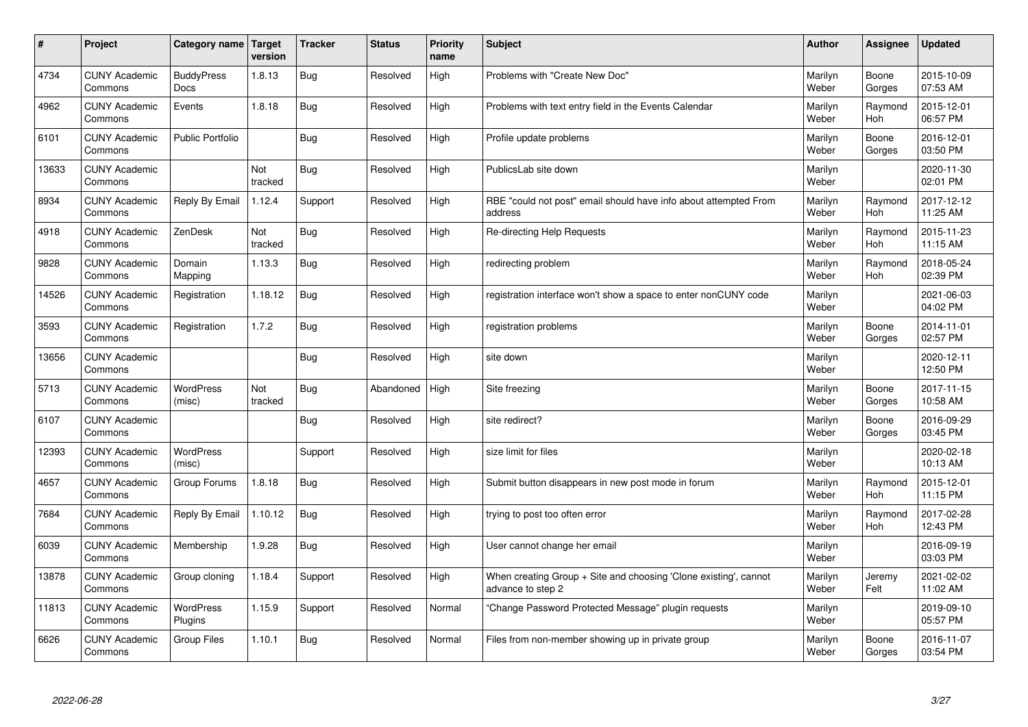| $\sharp$ | Project                         | Category name   Target           | version        | <b>Tracker</b> | <b>Status</b> | <b>Priority</b><br>name | <b>Subject</b>                                                                        | <b>Author</b>    | Assignee        | <b>Updated</b>         |
|----------|---------------------------------|----------------------------------|----------------|----------------|---------------|-------------------------|---------------------------------------------------------------------------------------|------------------|-----------------|------------------------|
| 4734     | <b>CUNY Academic</b><br>Commons | <b>BuddyPress</b><br><b>Docs</b> | 1.8.13         | Bug            | Resolved      | High                    | Problems with "Create New Doc"                                                        | Marilyn<br>Weber | Boone<br>Gorges | 2015-10-09<br>07:53 AM |
| 4962     | <b>CUNY Academic</b><br>Commons | Events                           | 1.8.18         | Bug            | Resolved      | High                    | Problems with text entry field in the Events Calendar                                 | Marilyn<br>Weber | Raymond<br>Hoh  | 2015-12-01<br>06:57 PM |
| 6101     | <b>CUNY Academic</b><br>Commons | <b>Public Portfolio</b>          |                | Bug            | Resolved      | High                    | Profile update problems                                                               | Marilyn<br>Weber | Boone<br>Gorges | 2016-12-01<br>03:50 PM |
| 13633    | <b>CUNY Academic</b><br>Commons |                                  | Not<br>tracked | <b>Bug</b>     | Resolved      | High                    | PublicsLab site down                                                                  | Marilyn<br>Weber |                 | 2020-11-30<br>02:01 PM |
| 8934     | <b>CUNY Academic</b><br>Commons | Reply By Email                   | 1.12.4         | Support        | Resolved      | High                    | RBE "could not post" email should have info about attempted From<br>address           | Marilyn<br>Weber | Raymond<br>Hoh  | 2017-12-12<br>11:25 AM |
| 4918     | <b>CUNY Academic</b><br>Commons | ZenDesk                          | Not<br>tracked | Bug            | Resolved      | High                    | Re-directing Help Requests                                                            | Marilyn<br>Weber | Raymond<br>Hoh  | 2015-11-23<br>11:15 AM |
| 9828     | <b>CUNY Academic</b><br>Commons | Domain<br>Mapping                | 1.13.3         | Bug            | Resolved      | High                    | redirecting problem                                                                   | Marilyn<br>Weber | Raymond<br>Hoh  | 2018-05-24<br>02:39 PM |
| 14526    | <b>CUNY Academic</b><br>Commons | Registration                     | 1.18.12        | Bug            | Resolved      | High                    | registration interface won't show a space to enter nonCUNY code                       | Marilyn<br>Weber |                 | 2021-06-03<br>04:02 PM |
| 3593     | <b>CUNY Academic</b><br>Commons | Registration                     | 1.7.2          | Bug            | Resolved      | High                    | registration problems                                                                 | Marilyn<br>Weber | Boone<br>Gorges | 2014-11-01<br>02:57 PM |
| 13656    | <b>CUNY Academic</b><br>Commons |                                  |                | <b>Bug</b>     | Resolved      | High                    | site down                                                                             | Marilyn<br>Weber |                 | 2020-12-11<br>12:50 PM |
| 5713     | <b>CUNY Academic</b><br>Commons | WordPress<br>(misc)              | Not<br>tracked | <b>Bug</b>     | Abandoned     | High                    | Site freezing                                                                         | Marilyn<br>Weber | Boone<br>Gorges | 2017-11-15<br>10:58 AM |
| 6107     | <b>CUNY Academic</b><br>Commons |                                  |                | Bug            | Resolved      | High                    | site redirect?                                                                        | Marilyn<br>Weber | Boone<br>Gorges | 2016-09-29<br>03:45 PM |
| 12393    | <b>CUNY Academic</b><br>Commons | <b>WordPress</b><br>(misc)       |                | Support        | Resolved      | High                    | size limit for files                                                                  | Marilyn<br>Weber |                 | 2020-02-18<br>10:13 AM |
| 4657     | <b>CUNY Academic</b><br>Commons | Group Forums                     | 1.8.18         | Bug            | Resolved      | High                    | Submit button disappears in new post mode in forum                                    | Marilyn<br>Weber | Raymond<br>Hoh  | 2015-12-01<br>11:15 PM |
| 7684     | <b>CUNY Academic</b><br>Commons | Reply By Email                   | 1.10.12        | <b>Bug</b>     | Resolved      | High                    | trying to post too often error                                                        | Marilyn<br>Weber | Raymond<br>Hoh  | 2017-02-28<br>12:43 PM |
| 6039     | <b>CUNY Academic</b><br>Commons | Membership                       | 1.9.28         | Bug            | Resolved      | High                    | User cannot change her email                                                          | Marilyn<br>Weber |                 | 2016-09-19<br>03:03 PM |
| 13878    | <b>CUNY Academic</b><br>Commons | Group cloning                    | 1.18.4         | Support        | Resolved      | High                    | When creating Group + Site and choosing 'Clone existing', cannot<br>advance to step 2 | Marilyn<br>Weber | Jeremy<br>Felt  | 2021-02-02<br>11:02 AM |
| 11813    | <b>CUNY Academic</b><br>Commons | WordPress<br>Plugins             | 1.15.9         | Support        | Resolved      | Normal                  | 'Change Password Protected Message" plugin requests                                   | Marilyn<br>Weber |                 | 2019-09-10<br>05:57 PM |
| 6626     | <b>CUNY Academic</b><br>Commons | Group Files                      | 1.10.1         | Bug            | Resolved      | Normal                  | Files from non-member showing up in private group                                     | Marilyn<br>Weber | Boone<br>Gorges | 2016-11-07<br>03:54 PM |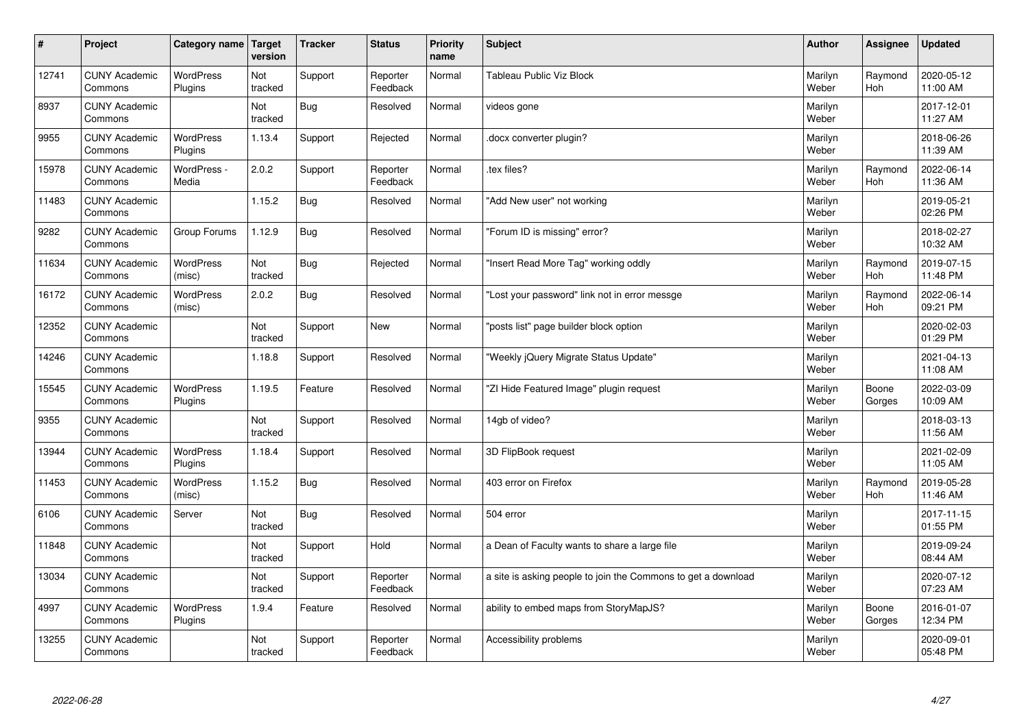| $\sharp$ | Project                         | Category name               | Target<br>version | <b>Tracker</b> | <b>Status</b>        | <b>Priority</b><br>name | <b>Subject</b>                                                | <b>Author</b>    | Assignee              | <b>Updated</b>         |
|----------|---------------------------------|-----------------------------|-------------------|----------------|----------------------|-------------------------|---------------------------------------------------------------|------------------|-----------------------|------------------------|
| 12741    | <b>CUNY Academic</b><br>Commons | <b>WordPress</b><br>Plugins | Not<br>tracked    | Support        | Reporter<br>Feedback | Normal                  | <b>Tableau Public Viz Block</b>                               | Marilyn<br>Weber | Raymond<br><b>Hoh</b> | 2020-05-12<br>11:00 AM |
| 8937     | <b>CUNY Academic</b><br>Commons |                             | Not<br>tracked    | Bug            | Resolved             | Normal                  | videos gone                                                   | Marilyn<br>Weber |                       | 2017-12-01<br>11:27 AM |
| 9955     | <b>CUNY Academic</b><br>Commons | <b>WordPress</b><br>Plugins | 1.13.4            | Support        | Rejected             | Normal                  | docx converter plugin?                                        | Marilyn<br>Weber |                       | 2018-06-26<br>11:39 AM |
| 15978    | <b>CUNY Academic</b><br>Commons | WordPress -<br>Media        | 2.0.2             | Support        | Reporter<br>Feedback | Normal                  | tex files?                                                    | Marilyn<br>Weber | Raymond<br>Hoh        | 2022-06-14<br>11:36 AM |
| 11483    | <b>CUNY Academic</b><br>Commons |                             | 1.15.2            | <b>Bug</b>     | Resolved             | Normal                  | "Add New user" not working                                    | Marilyn<br>Weber |                       | 2019-05-21<br>02:26 PM |
| 9282     | <b>CUNY Academic</b><br>Commons | Group Forums                | 1.12.9            | Bug            | Resolved             | Normal                  | 'Forum ID is missing" error?                                  | Marilyn<br>Weber |                       | 2018-02-27<br>10:32 AM |
| 11634    | <b>CUNY Academic</b><br>Commons | <b>WordPress</b><br>(misc)  | Not<br>tracked    | Bug            | Rejected             | Normal                  | "Insert Read More Tag" working oddly                          | Marilyn<br>Weber | Raymond<br>Hoh        | 2019-07-15<br>11:48 PM |
| 16172    | <b>CUNY Academic</b><br>Commons | <b>WordPress</b><br>(misc)  | 2.0.2             | Bug            | Resolved             | Normal                  | "Lost your password" link not in error messge                 | Marilyn<br>Weber | Raymond<br><b>Hoh</b> | 2022-06-14<br>09:21 PM |
| 12352    | <b>CUNY Academic</b><br>Commons |                             | Not<br>tracked    | Support        | New                  | Normal                  | posts list" page builder block option                         | Marilyn<br>Weber |                       | 2020-02-03<br>01:29 PM |
| 14246    | <b>CUNY Academic</b><br>Commons |                             | 1.18.8            | Support        | Resolved             | Normal                  | 'Weekly jQuery Migrate Status Update"                         | Marilyn<br>Weber |                       | 2021-04-13<br>11:08 AM |
| 15545    | <b>CUNY Academic</b><br>Commons | <b>WordPress</b><br>Plugins | 1.19.5            | Feature        | Resolved             | Normal                  | 'ZI Hide Featured Image" plugin request                       | Marilyn<br>Weber | Boone<br>Gorges       | 2022-03-09<br>10:09 AM |
| 9355     | <b>CUNY Academic</b><br>Commons |                             | Not<br>tracked    | Support        | Resolved             | Normal                  | 14gb of video?                                                | Marilyn<br>Weber |                       | 2018-03-13<br>11:56 AM |
| 13944    | <b>CUNY Academic</b><br>Commons | WordPress<br>Plugins        | 1.18.4            | Support        | Resolved             | Normal                  | 3D FlipBook request                                           | Marilyn<br>Weber |                       | 2021-02-09<br>11:05 AM |
| 11453    | <b>CUNY Academic</b><br>Commons | <b>WordPress</b><br>(misc)  | 1.15.2            | Bug            | Resolved             | Normal                  | 403 error on Firefox                                          | Marilyn<br>Weber | Raymond<br>Hoh        | 2019-05-28<br>11:46 AM |
| 6106     | <b>CUNY Academic</b><br>Commons | Server                      | Not<br>tracked    | <b>Bug</b>     | Resolved             | Normal                  | 504 error                                                     | Marilyn<br>Weber |                       | 2017-11-15<br>01:55 PM |
| 11848    | <b>CUNY Academic</b><br>Commons |                             | Not<br>tracked    | Support        | Hold                 | Normal                  | a Dean of Faculty wants to share a large file                 | Marilyn<br>Weber |                       | 2019-09-24<br>08:44 AM |
| 13034    | <b>CUNY Academic</b><br>Commons |                             | Not<br>tracked    | Support        | Reporter<br>Feedback | Normal                  | a site is asking people to join the Commons to get a download | Marilyn<br>Weber |                       | 2020-07-12<br>07:23 AM |
| 4997     | <b>CUNY Academic</b><br>Commons | WordPress<br>Plugins        | 1.9.4             | Feature        | Resolved             | Normal                  | ability to embed maps from StoryMapJS?                        | Marilyn<br>Weber | Boone<br>Gorges       | 2016-01-07<br>12:34 PM |
| 13255    | <b>CUNY Academic</b><br>Commons |                             | Not<br>tracked    | Support        | Reporter<br>Feedback | Normal                  | Accessibility problems                                        | Marilyn<br>Weber |                       | 2020-09-01<br>05:48 PM |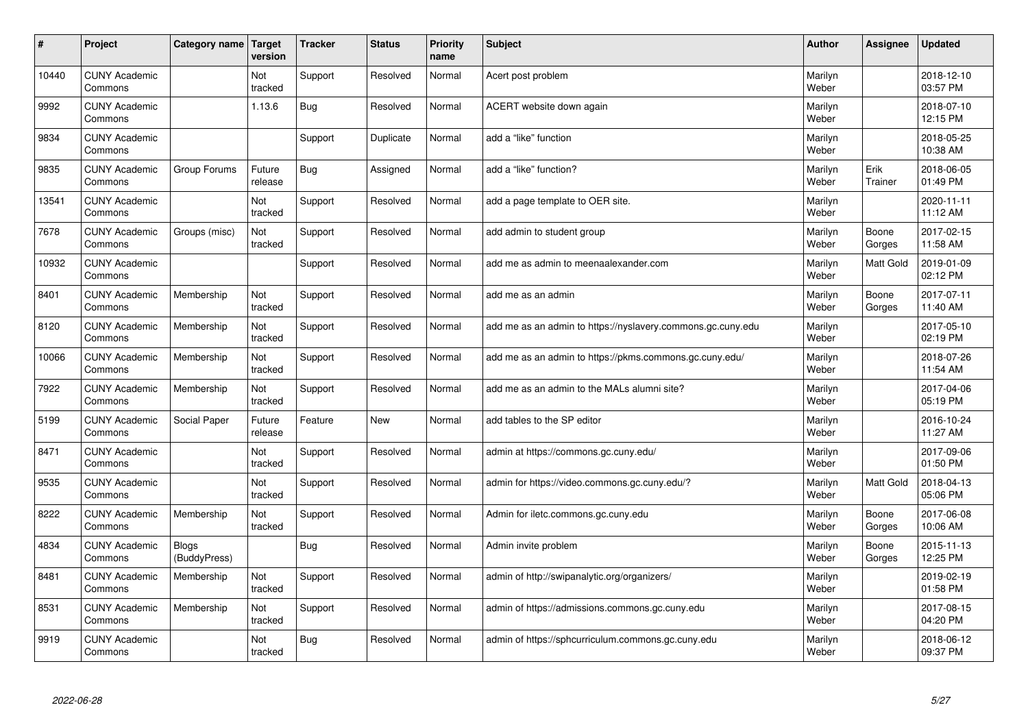| #     | Project                         | Category name                | Target<br>version | <b>Tracker</b> | <b>Status</b> | <b>Priority</b><br>name | <b>Subject</b>                                              | <b>Author</b>    | Assignee        | <b>Updated</b>         |
|-------|---------------------------------|------------------------------|-------------------|----------------|---------------|-------------------------|-------------------------------------------------------------|------------------|-----------------|------------------------|
| 10440 | <b>CUNY Academic</b><br>Commons |                              | Not<br>tracked    | Support        | Resolved      | Normal                  | Acert post problem                                          | Marilyn<br>Weber |                 | 2018-12-10<br>03:57 PM |
| 9992  | <b>CUNY Academic</b><br>Commons |                              | 1.13.6            | Bug            | Resolved      | Normal                  | ACERT website down again                                    | Marilyn<br>Weber |                 | 2018-07-10<br>12:15 PM |
| 9834  | <b>CUNY Academic</b><br>Commons |                              |                   | Support        | Duplicate     | Normal                  | add a "like" function                                       | Marilyn<br>Weber |                 | 2018-05-25<br>10:38 AM |
| 9835  | <b>CUNY Academic</b><br>Commons | Group Forums                 | Future<br>release | <b>Bug</b>     | Assigned      | Normal                  | add a "like" function?                                      | Marilyn<br>Weber | Erik<br>Trainer | 2018-06-05<br>01:49 PM |
| 13541 | <b>CUNY Academic</b><br>Commons |                              | Not<br>tracked    | Support        | Resolved      | Normal                  | add a page template to OER site.                            | Marilyn<br>Weber |                 | 2020-11-11<br>11:12 AM |
| 7678  | <b>CUNY Academic</b><br>Commons | Groups (misc)                | Not<br>tracked    | Support        | Resolved      | Normal                  | add admin to student group                                  | Marilyn<br>Weber | Boone<br>Gorges | 2017-02-15<br>11:58 AM |
| 10932 | <b>CUNY Academic</b><br>Commons |                              |                   | Support        | Resolved      | Normal                  | add me as admin to meenaalexander.com                       | Marilyn<br>Weber | Matt Gold       | 2019-01-09<br>02:12 PM |
| 8401  | <b>CUNY Academic</b><br>Commons | Membership                   | Not<br>tracked    | Support        | Resolved      | Normal                  | add me as an admin                                          | Marilyn<br>Weber | Boone<br>Gorges | 2017-07-11<br>11:40 AM |
| 8120  | <b>CUNY Academic</b><br>Commons | Membership                   | Not<br>tracked    | Support        | Resolved      | Normal                  | add me as an admin to https://nyslavery.commons.gc.cuny.edu | Marilyn<br>Weber |                 | 2017-05-10<br>02:19 PM |
| 10066 | <b>CUNY Academic</b><br>Commons | Membership                   | Not<br>tracked    | Support        | Resolved      | Normal                  | add me as an admin to https://pkms.commons.gc.cuny.edu/     | Marilyn<br>Weber |                 | 2018-07-26<br>11:54 AM |
| 7922  | <b>CUNY Academic</b><br>Commons | Membership                   | Not<br>tracked    | Support        | Resolved      | Normal                  | add me as an admin to the MALs alumni site?                 | Marilyn<br>Weber |                 | 2017-04-06<br>05:19 PM |
| 5199  | <b>CUNY Academic</b><br>Commons | Social Paper                 | Future<br>release | Feature        | <b>New</b>    | Normal                  | add tables to the SP editor                                 | Marilyn<br>Weber |                 | 2016-10-24<br>11:27 AM |
| 8471  | <b>CUNY Academic</b><br>Commons |                              | Not<br>tracked    | Support        | Resolved      | Normal                  | admin at https://commons.gc.cuny.edu/                       | Marilyn<br>Weber |                 | 2017-09-06<br>01:50 PM |
| 9535  | <b>CUNY Academic</b><br>Commons |                              | Not<br>tracked    | Support        | Resolved      | Normal                  | admin for https://video.commons.gc.cuny.edu/?               | Marilyn<br>Weber | Matt Gold       | 2018-04-13<br>05:06 PM |
| 8222  | <b>CUNY Academic</b><br>Commons | Membership                   | Not<br>tracked    | Support        | Resolved      | Normal                  | Admin for iletc.commons.gc.cuny.edu                         | Marilyn<br>Weber | Boone<br>Gorges | 2017-06-08<br>10:06 AM |
| 4834  | <b>CUNY Academic</b><br>Commons | <b>Blogs</b><br>(BuddyPress) |                   | Bug            | Resolved      | Normal                  | Admin invite problem                                        | Marilyn<br>Weber | Boone<br>Gorges | 2015-11-13<br>12:25 PM |
| 8481  | <b>CUNY Academic</b><br>Commons | Membership                   | Not<br>tracked    | Support        | Resolved      | Normal                  | admin of http://swipanalytic.org/organizers/                | Marilyn<br>Weber |                 | 2019-02-19<br>01:58 PM |
| 8531  | <b>CUNY Academic</b><br>Commons | Membership                   | Not<br>tracked    | Support        | Resolved      | Normal                  | admin of https://admissions.commons.gc.cuny.edu             | Marilyn<br>Weber |                 | 2017-08-15<br>04:20 PM |
| 9919  | <b>CUNY Academic</b><br>Commons |                              | Not<br>tracked    | Bug            | Resolved      | Normal                  | admin of https://sphcurriculum.commons.gc.cuny.edu          | Marilyn<br>Weber |                 | 2018-06-12<br>09:37 PM |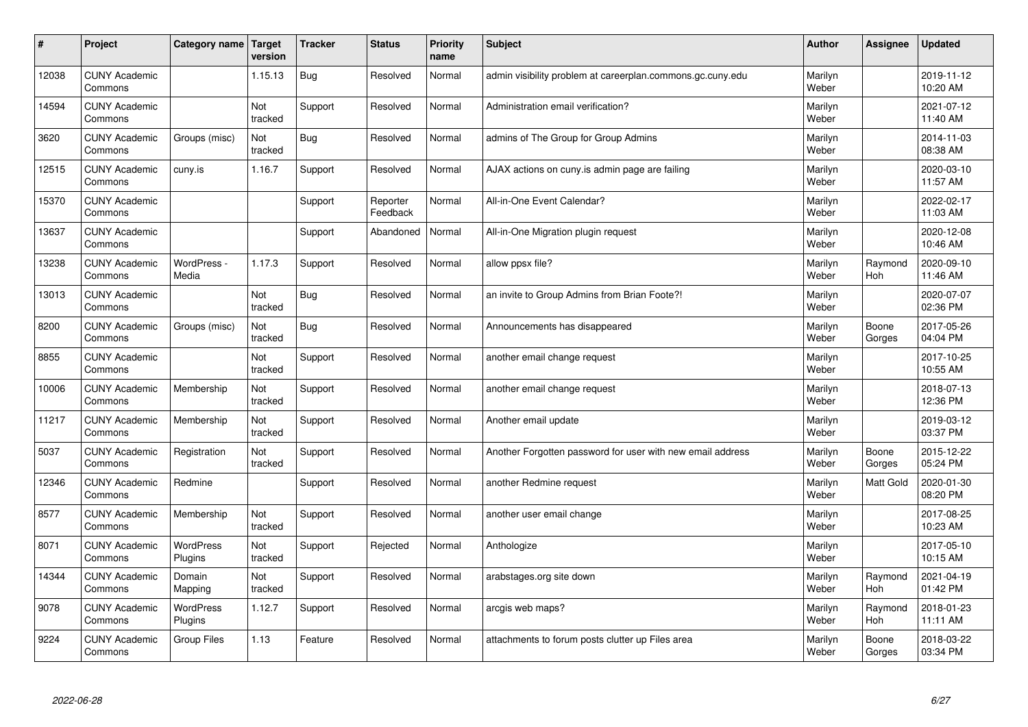| #     | Project                         | Category name   Target | version        | <b>Tracker</b> | <b>Status</b>        | <b>Priority</b><br>name | <b>Subject</b>                                             | <b>Author</b>    | Assignee         | <b>Updated</b>         |
|-------|---------------------------------|------------------------|----------------|----------------|----------------------|-------------------------|------------------------------------------------------------|------------------|------------------|------------------------|
| 12038 | <b>CUNY Academic</b><br>Commons |                        | 1.15.13        | Bug            | Resolved             | Normal                  | admin visibility problem at careerplan.commons.gc.cuny.edu | Marilyn<br>Weber |                  | 2019-11-12<br>10:20 AM |
| 14594 | <b>CUNY Academic</b><br>Commons |                        | Not<br>tracked | Support        | Resolved             | Normal                  | Administration email verification?                         | Marilyn<br>Weber |                  | 2021-07-12<br>11:40 AM |
| 3620  | <b>CUNY Academic</b><br>Commons | Groups (misc)          | Not<br>tracked | Bug            | Resolved             | Normal                  | admins of The Group for Group Admins                       | Marilyn<br>Weber |                  | 2014-11-03<br>08:38 AM |
| 12515 | <b>CUNY Academic</b><br>Commons | cuny.is                | 1.16.7         | Support        | Resolved             | Normal                  | AJAX actions on cuny is admin page are failing             | Marilyn<br>Weber |                  | 2020-03-10<br>11:57 AM |
| 15370 | <b>CUNY Academic</b><br>Commons |                        |                | Support        | Reporter<br>Feedback | Normal                  | All-in-One Event Calendar?                                 | Marilyn<br>Weber |                  | 2022-02-17<br>11:03 AM |
| 13637 | <b>CUNY Academic</b><br>Commons |                        |                | Support        | Abandoned            | Normal                  | All-in-One Migration plugin request                        | Marilyn<br>Weber |                  | 2020-12-08<br>10:46 AM |
| 13238 | <b>CUNY Academic</b><br>Commons | WordPress -<br>Media   | 1.17.3         | Support        | Resolved             | Normal                  | allow ppsx file?                                           | Marilyn<br>Weber | Raymond<br>Hoh   | 2020-09-10<br>11:46 AM |
| 13013 | <b>CUNY Academic</b><br>Commons |                        | Not<br>tracked | <b>Bug</b>     | Resolved             | Normal                  | an invite to Group Admins from Brian Foote?!               | Marilyn<br>Weber |                  | 2020-07-07<br>02:36 PM |
| 8200  | <b>CUNY Academic</b><br>Commons | Groups (misc)          | Not<br>tracked | Bug            | Resolved             | Normal                  | Announcements has disappeared                              | Marilyn<br>Weber | Boone<br>Gorges  | 2017-05-26<br>04:04 PM |
| 8855  | <b>CUNY Academic</b><br>Commons |                        | Not<br>tracked | Support        | Resolved             | Normal                  | another email change request                               | Marilyn<br>Weber |                  | 2017-10-25<br>10:55 AM |
| 10006 | <b>CUNY Academic</b><br>Commons | Membership             | Not<br>tracked | Support        | Resolved             | Normal                  | another email change request                               | Marilyn<br>Weber |                  | 2018-07-13<br>12:36 PM |
| 11217 | <b>CUNY Academic</b><br>Commons | Membership             | Not<br>tracked | Support        | Resolved             | Normal                  | Another email update                                       | Marilyn<br>Weber |                  | 2019-03-12<br>03:37 PM |
| 5037  | <b>CUNY Academic</b><br>Commons | Registration           | Not<br>tracked | Support        | Resolved             | Normal                  | Another Forgotten password for user with new email address | Marilyn<br>Weber | Boone<br>Gorges  | 2015-12-22<br>05:24 PM |
| 12346 | <b>CUNY Academic</b><br>Commons | Redmine                |                | Support        | Resolved             | Normal                  | another Redmine request                                    | Marilyn<br>Weber | <b>Matt Gold</b> | 2020-01-30<br>08:20 PM |
| 8577  | <b>CUNY Academic</b><br>Commons | Membership             | Not<br>tracked | Support        | Resolved             | Normal                  | another user email change                                  | Marilyn<br>Weber |                  | 2017-08-25<br>10:23 AM |
| 8071  | <b>CUNY Academic</b><br>Commons | WordPress<br>Plugins   | Not<br>tracked | Support        | Rejected             | Normal                  | Anthologize                                                | Marilyn<br>Weber |                  | 2017-05-10<br>10:15 AM |
| 14344 | <b>CUNY Academic</b><br>Commons | Domain<br>Mapping      | Not<br>tracked | Support        | Resolved             | Normal                  | arabstages.org site down                                   | Marilyn<br>Weber | Raymond<br>Hoh   | 2021-04-19<br>01:42 PM |
| 9078  | <b>CUNY Academic</b><br>Commons | WordPress<br>Plugins   | 1.12.7         | Support        | Resolved             | Normal                  | arcgis web maps?                                           | Marilyn<br>Weber | Raymond<br>Hoh   | 2018-01-23<br>11:11 AM |
| 9224  | <b>CUNY Academic</b><br>Commons | Group Files            | 1.13           | Feature        | Resolved             | Normal                  | attachments to forum posts clutter up Files area           | Marilyn<br>Weber | Boone<br>Gorges  | 2018-03-22<br>03:34 PM |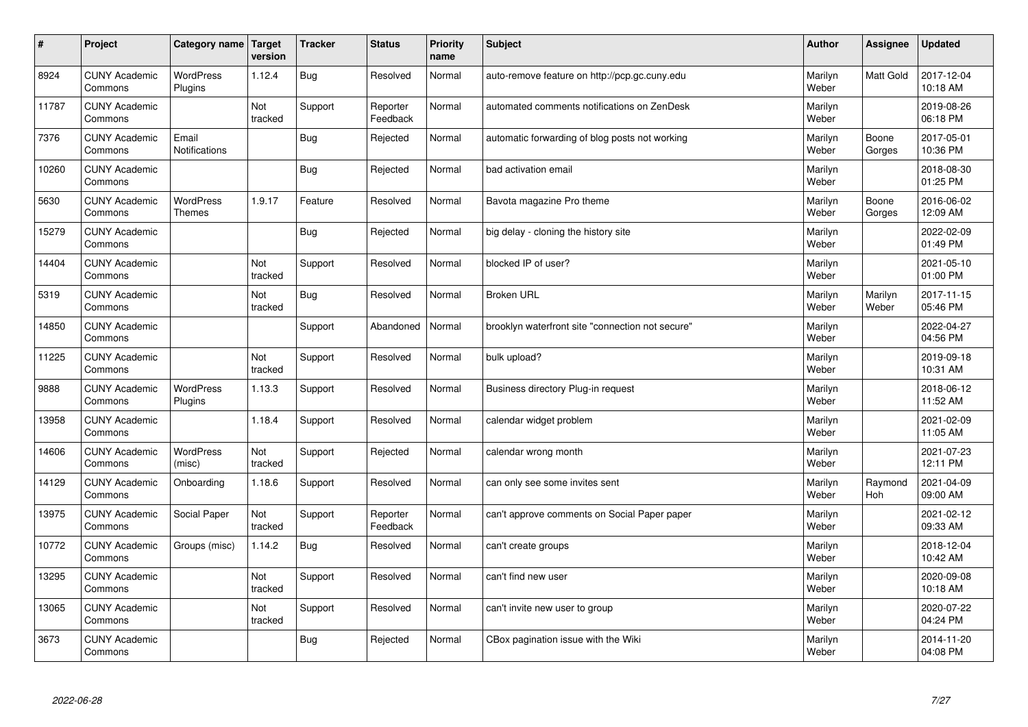| $\vert$ # | Project                         | Category name   Target            | version        | <b>Tracker</b> | <b>Status</b>        | <b>Priority</b><br>name | <b>Subject</b>                                   | <b>Author</b>    | Assignee         | <b>Updated</b>         |
|-----------|---------------------------------|-----------------------------------|----------------|----------------|----------------------|-------------------------|--------------------------------------------------|------------------|------------------|------------------------|
| 8924      | <b>CUNY Academic</b><br>Commons | <b>WordPress</b><br>Plugins       | 1.12.4         | Bug            | Resolved             | Normal                  | auto-remove feature on http://pcp.gc.cuny.edu    | Marilyn<br>Weber | Matt Gold        | 2017-12-04<br>10:18 AM |
| 11787     | <b>CUNY Academic</b><br>Commons |                                   | Not<br>tracked | Support        | Reporter<br>Feedback | Normal                  | automated comments notifications on ZenDesk      | Marilyn<br>Weber |                  | 2019-08-26<br>06:18 PM |
| 7376      | <b>CUNY Academic</b><br>Commons | Email<br>Notifications            |                | <b>Bug</b>     | Rejected             | Normal                  | automatic forwarding of blog posts not working   | Marilyn<br>Weber | Boone<br>Gorges  | 2017-05-01<br>10:36 PM |
| 10260     | <b>CUNY Academic</b><br>Commons |                                   |                | <b>Bug</b>     | Rejected             | Normal                  | bad activation email                             | Marilyn<br>Weber |                  | 2018-08-30<br>01:25 PM |
| 5630      | <b>CUNY Academic</b><br>Commons | <b>WordPress</b><br><b>Themes</b> | 1.9.17         | Feature        | Resolved             | Normal                  | Bavota magazine Pro theme                        | Marilyn<br>Weber | Boone<br>Gorges  | 2016-06-02<br>12:09 AM |
| 15279     | <b>CUNY Academic</b><br>Commons |                                   |                | <b>Bug</b>     | Rejected             | Normal                  | big delay - cloning the history site             | Marilyn<br>Weber |                  | 2022-02-09<br>01:49 PM |
| 14404     | <b>CUNY Academic</b><br>Commons |                                   | Not<br>tracked | Support        | Resolved             | Normal                  | blocked IP of user?                              | Marilyn<br>Weber |                  | 2021-05-10<br>01:00 PM |
| 5319      | <b>CUNY Academic</b><br>Commons |                                   | Not<br>tracked | <b>Bug</b>     | Resolved             | Normal                  | <b>Broken URL</b>                                | Marilyn<br>Weber | Marilyn<br>Weber | 2017-11-15<br>05:46 PM |
| 14850     | <b>CUNY Academic</b><br>Commons |                                   |                | Support        | Abandoned            | Normal                  | brooklyn waterfront site "connection not secure" | Marilyn<br>Weber |                  | 2022-04-27<br>04:56 PM |
| 11225     | <b>CUNY Academic</b><br>Commons |                                   | Not<br>tracked | Support        | Resolved             | Normal                  | bulk upload?                                     | Marilyn<br>Weber |                  | 2019-09-18<br>10:31 AM |
| 9888      | <b>CUNY Academic</b><br>Commons | WordPress<br>Plugins              | 1.13.3         | Support        | Resolved             | Normal                  | Business directory Plug-in request               | Marilyn<br>Weber |                  | 2018-06-12<br>11:52 AM |
| 13958     | <b>CUNY Academic</b><br>Commons |                                   | 1.18.4         | Support        | Resolved             | Normal                  | calendar widget problem                          | Marilyn<br>Weber |                  | 2021-02-09<br>11:05 AM |
| 14606     | <b>CUNY Academic</b><br>Commons | WordPress<br>(misc)               | Not<br>tracked | Support        | Rejected             | Normal                  | calendar wrong month                             | Marilyn<br>Weber |                  | 2021-07-23<br>12:11 PM |
| 14129     | <b>CUNY Academic</b><br>Commons | Onboarding                        | 1.18.6         | Support        | Resolved             | Normal                  | can only see some invites sent                   | Marilyn<br>Weber | Raymond<br>Hoh   | 2021-04-09<br>09:00 AM |
| 13975     | <b>CUNY Academic</b><br>Commons | Social Paper                      | Not<br>tracked | Support        | Reporter<br>Feedback | Normal                  | can't approve comments on Social Paper paper     | Marilyn<br>Weber |                  | 2021-02-12<br>09:33 AM |
| 10772     | <b>CUNY Academic</b><br>Commons | Groups (misc)                     | 1.14.2         | <b>Bug</b>     | Resolved             | Normal                  | can't create groups                              | Marilyn<br>Weber |                  | 2018-12-04<br>10:42 AM |
| 13295     | <b>CUNY Academic</b><br>Commons |                                   | Not<br>tracked | Support        | Resolved             | Normal                  | can't find new user                              | Marilyn<br>Weber |                  | 2020-09-08<br>10:18 AM |
| 13065     | <b>CUNY Academic</b><br>Commons |                                   | Not<br>tracked | Support        | Resolved             | Normal                  | can't invite new user to group                   | Marilyn<br>Weber |                  | 2020-07-22<br>04:24 PM |
| 3673      | <b>CUNY Academic</b><br>Commons |                                   |                | Bug            | Rejected             | Normal                  | CBox pagination issue with the Wiki              | Marilyn<br>Weber |                  | 2014-11-20<br>04:08 PM |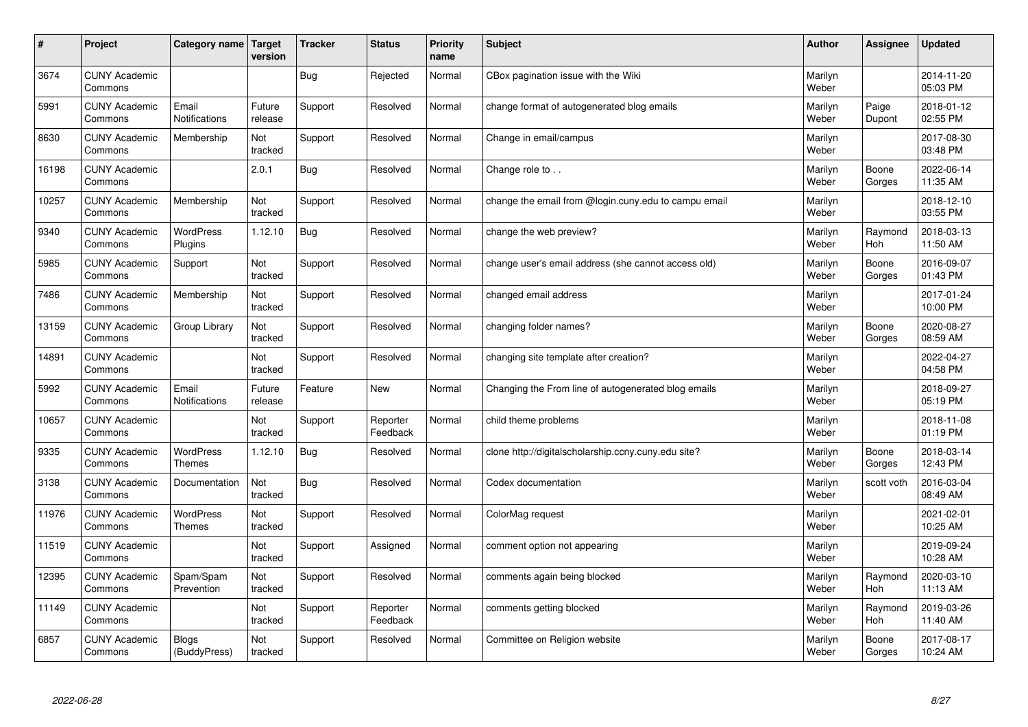| #     | Project                         | Category name                     | <b>Target</b><br>version | <b>Tracker</b> | <b>Status</b>        | <b>Priority</b><br>name | <b>Subject</b>                                       | <b>Author</b>    | Assignee        | <b>Updated</b>         |
|-------|---------------------------------|-----------------------------------|--------------------------|----------------|----------------------|-------------------------|------------------------------------------------------|------------------|-----------------|------------------------|
| 3674  | <b>CUNY Academic</b><br>Commons |                                   |                          | Bug            | Rejected             | Normal                  | CBox pagination issue with the Wiki                  | Marilyn<br>Weber |                 | 2014-11-20<br>05:03 PM |
| 5991  | <b>CUNY Academic</b><br>Commons | Email<br><b>Notifications</b>     | Future<br>release        | Support        | Resolved             | Normal                  | change format of autogenerated blog emails           | Marilyn<br>Weber | Paige<br>Dupont | 2018-01-12<br>02:55 PM |
| 8630  | <b>CUNY Academic</b><br>Commons | Membership                        | Not<br>tracked           | Support        | Resolved             | Normal                  | Change in email/campus                               | Marilyn<br>Weber |                 | 2017-08-30<br>03:48 PM |
| 16198 | <b>CUNY Academic</b><br>Commons |                                   | 2.0.1                    | Bug            | Resolved             | Normal                  | Change role to                                       | Marilyn<br>Weber | Boone<br>Gorges | 2022-06-14<br>11:35 AM |
| 10257 | <b>CUNY Academic</b><br>Commons | Membership                        | Not<br>tracked           | Support        | Resolved             | Normal                  | change the email from @login.cuny.edu to campu email | Marilyn<br>Weber |                 | 2018-12-10<br>03:55 PM |
| 9340  | <b>CUNY Academic</b><br>Commons | <b>WordPress</b><br>Plugins       | 1.12.10                  | Bug            | Resolved             | Normal                  | change the web preview?                              | Marilyn<br>Weber | Raymond<br>Hoh  | 2018-03-13<br>11:50 AM |
| 5985  | <b>CUNY Academic</b><br>Commons | Support                           | Not<br>tracked           | Support        | Resolved             | Normal                  | change user's email address (she cannot access old)  | Marilyn<br>Weber | Boone<br>Gorges | 2016-09-07<br>01:43 PM |
| 7486  | <b>CUNY Academic</b><br>Commons | Membership                        | Not<br>tracked           | Support        | Resolved             | Normal                  | changed email address                                | Marilyn<br>Weber |                 | 2017-01-24<br>10:00 PM |
| 13159 | <b>CUNY Academic</b><br>Commons | Group Library                     | Not<br>tracked           | Support        | Resolved             | Normal                  | changing folder names?                               | Marilyn<br>Weber | Boone<br>Gorges | 2020-08-27<br>08:59 AM |
| 14891 | <b>CUNY Academic</b><br>Commons |                                   | Not<br>tracked           | Support        | Resolved             | Normal                  | changing site template after creation?               | Marilyn<br>Weber |                 | 2022-04-27<br>04:58 PM |
| 5992  | <b>CUNY Academic</b><br>Commons | Email<br><b>Notifications</b>     | Future<br>release        | Feature        | New                  | Normal                  | Changing the From line of autogenerated blog emails  | Marilyn<br>Weber |                 | 2018-09-27<br>05:19 PM |
| 10657 | <b>CUNY Academic</b><br>Commons |                                   | Not<br>tracked           | Support        | Reporter<br>Feedback | Normal                  | child theme problems                                 | Marilyn<br>Weber |                 | 2018-11-08<br>01:19 PM |
| 9335  | <b>CUNY Academic</b><br>Commons | <b>WordPress</b><br><b>Themes</b> | 1.12.10                  | Bug            | Resolved             | Normal                  | clone http://digitalscholarship.ccny.cuny.edu site?  | Marilyn<br>Weber | Boone<br>Gorges | 2018-03-14<br>12:43 PM |
| 3138  | <b>CUNY Academic</b><br>Commons | Documentation                     | Not<br>tracked           | Bug            | Resolved             | Normal                  | Codex documentation                                  | Marilyn<br>Weber | scott voth      | 2016-03-04<br>08:49 AM |
| 11976 | <b>CUNY Academic</b><br>Commons | WordPress<br><b>Themes</b>        | Not<br>tracked           | Support        | Resolved             | Normal                  | ColorMag request                                     | Marilyn<br>Weber |                 | 2021-02-01<br>10:25 AM |
| 11519 | <b>CUNY Academic</b><br>Commons |                                   | Not<br>tracked           | Support        | Assigned             | Normal                  | comment option not appearing                         | Marilyn<br>Weber |                 | 2019-09-24<br>10:28 AM |
| 12395 | <b>CUNY Academic</b><br>Commons | Spam/Spam<br>Prevention           | Not<br>tracked           | Support        | Resolved             | Normal                  | comments again being blocked                         | Marilyn<br>Weber | Raymond<br>Hoh  | 2020-03-10<br>11:13 AM |
| 11149 | <b>CUNY Academic</b><br>Commons |                                   | Not<br>tracked           | Support        | Reporter<br>Feedback | Normal                  | comments getting blocked                             | Marilyn<br>Weber | Raymond<br>Hoh  | 2019-03-26<br>11:40 AM |
| 6857  | <b>CUNY Academic</b><br>Commons | <b>Blogs</b><br>(BuddyPress)      | Not<br>tracked           | Support        | Resolved             | Normal                  | Committee on Religion website                        | Marilyn<br>Weber | Boone<br>Gorges | 2017-08-17<br>10:24 AM |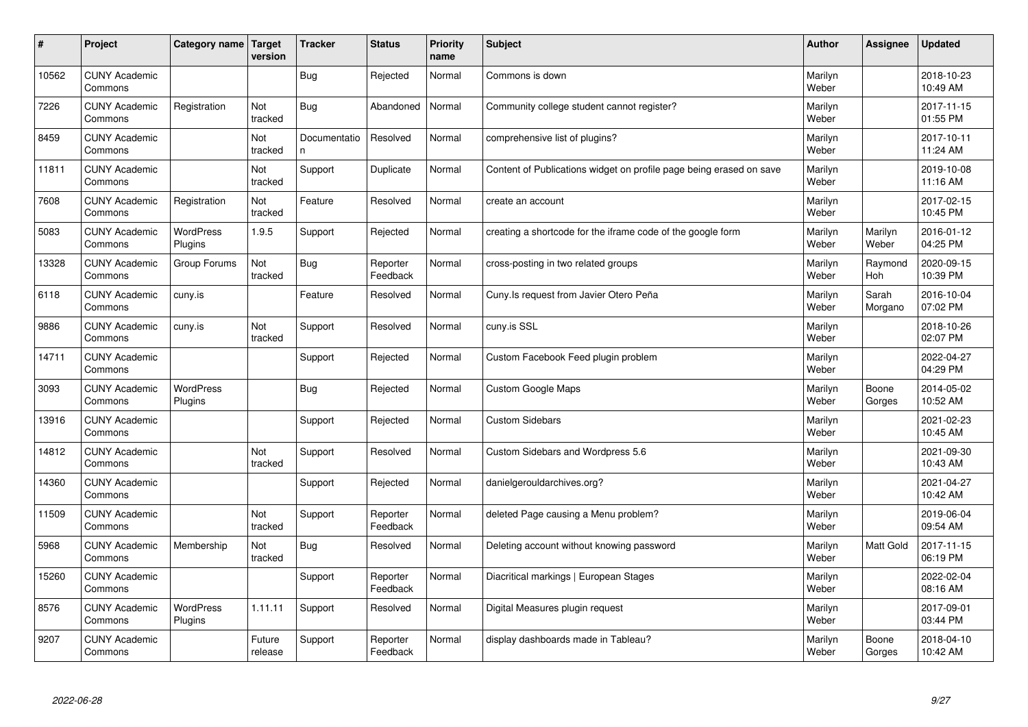| #     | Project                         | Category name               | Target<br>version | <b>Tracker</b>     | <b>Status</b>        | <b>Priority</b><br>name | <b>Subject</b>                                                      | <b>Author</b>    | Assignee         | <b>Updated</b>         |
|-------|---------------------------------|-----------------------------|-------------------|--------------------|----------------------|-------------------------|---------------------------------------------------------------------|------------------|------------------|------------------------|
| 10562 | <b>CUNY Academic</b><br>Commons |                             |                   | Bug                | Rejected             | Normal                  | Commons is down                                                     | Marilyn<br>Weber |                  | 2018-10-23<br>10:49 AM |
| 7226  | <b>CUNY Academic</b><br>Commons | Registration                | Not<br>tracked    | Bug                | Abandoned            | Normal                  | Community college student cannot register?                          | Marilyn<br>Weber |                  | 2017-11-15<br>01:55 PM |
| 8459  | <b>CUNY Academic</b><br>Commons |                             | Not<br>tracked    | Documentatio<br>n. | Resolved             | Normal                  | comprehensive list of plugins?                                      | Marilyn<br>Weber |                  | 2017-10-11<br>11:24 AM |
| 11811 | <b>CUNY Academic</b><br>Commons |                             | Not<br>tracked    | Support            | Duplicate            | Normal                  | Content of Publications widget on profile page being erased on save | Marilyn<br>Weber |                  | 2019-10-08<br>11:16 AM |
| 7608  | <b>CUNY Academic</b><br>Commons | Registration                | Not<br>tracked    | Feature            | Resolved             | Normal                  | create an account                                                   | Marilyn<br>Weber |                  | 2017-02-15<br>10:45 PM |
| 5083  | <b>CUNY Academic</b><br>Commons | WordPress<br>Plugins        | 1.9.5             | Support            | Rejected             | Normal                  | creating a shortcode for the iframe code of the google form         | Marilyn<br>Weber | Marilyn<br>Weber | 2016-01-12<br>04:25 PM |
| 13328 | <b>CUNY Academic</b><br>Commons | Group Forums                | Not<br>tracked    | <b>Bug</b>         | Reporter<br>Feedback | Normal                  | cross-posting in two related groups                                 | Marilyn<br>Weber | Raymond<br>Hoh   | 2020-09-15<br>10:39 PM |
| 6118  | <b>CUNY Academic</b><br>Commons | cuny.is                     |                   | Feature            | Resolved             | Normal                  | Cuny. Is request from Javier Otero Peña                             | Marilyn<br>Weber | Sarah<br>Morgano | 2016-10-04<br>07:02 PM |
| 9886  | <b>CUNY Academic</b><br>Commons | cuny.is                     | Not<br>tracked    | Support            | Resolved             | Normal                  | cuny.is SSL                                                         | Marilyn<br>Weber |                  | 2018-10-26<br>02:07 PM |
| 14711 | <b>CUNY Academic</b><br>Commons |                             |                   | Support            | Rejected             | Normal                  | Custom Facebook Feed plugin problem                                 | Marilyn<br>Weber |                  | 2022-04-27<br>04:29 PM |
| 3093  | <b>CUNY Academic</b><br>Commons | <b>WordPress</b><br>Plugins |                   | <b>Bug</b>         | Rejected             | Normal                  | Custom Google Maps                                                  | Marilyn<br>Weber | Boone<br>Gorges  | 2014-05-02<br>10:52 AM |
| 13916 | <b>CUNY Academic</b><br>Commons |                             |                   | Support            | Rejected             | Normal                  | <b>Custom Sidebars</b>                                              | Marilyn<br>Weber |                  | 2021-02-23<br>10:45 AM |
| 14812 | <b>CUNY Academic</b><br>Commons |                             | Not<br>tracked    | Support            | Resolved             | Normal                  | Custom Sidebars and Wordpress 5.6                                   | Marilyn<br>Weber |                  | 2021-09-30<br>10:43 AM |
| 14360 | <b>CUNY Academic</b><br>Commons |                             |                   | Support            | Rejected             | Normal                  | danielgerouldarchives.org?                                          | Marilyn<br>Weber |                  | 2021-04-27<br>10:42 AM |
| 11509 | <b>CUNY Academic</b><br>Commons |                             | Not<br>tracked    | Support            | Reporter<br>Feedback | Normal                  | deleted Page causing a Menu problem?                                | Marilyn<br>Weber |                  | 2019-06-04<br>09:54 AM |
| 5968  | <b>CUNY Academic</b><br>Commons | Membership                  | Not<br>tracked    | Bug                | Resolved             | Normal                  | Deleting account without knowing password                           | Marilyn<br>Weber | <b>Matt Gold</b> | 2017-11-15<br>06:19 PM |
| 15260 | <b>CUNY Academic</b><br>Commons |                             |                   | Support            | Reporter<br>Feedback | Normal                  | Diacritical markings   European Stages                              | Marilyn<br>Weber |                  | 2022-02-04<br>08:16 AM |
| 8576  | <b>CUNY Academic</b><br>Commons | <b>WordPress</b><br>Plugins | 1.11.11           | Support            | Resolved             | Normal                  | Digital Measures plugin request                                     | Marilyn<br>Weber |                  | 2017-09-01<br>03:44 PM |
| 9207  | <b>CUNY Academic</b><br>Commons |                             | Future<br>release | Support            | Reporter<br>Feedback | Normal                  | display dashboards made in Tableau?                                 | Marilyn<br>Weber | Boone<br>Gorges  | 2018-04-10<br>10:42 AM |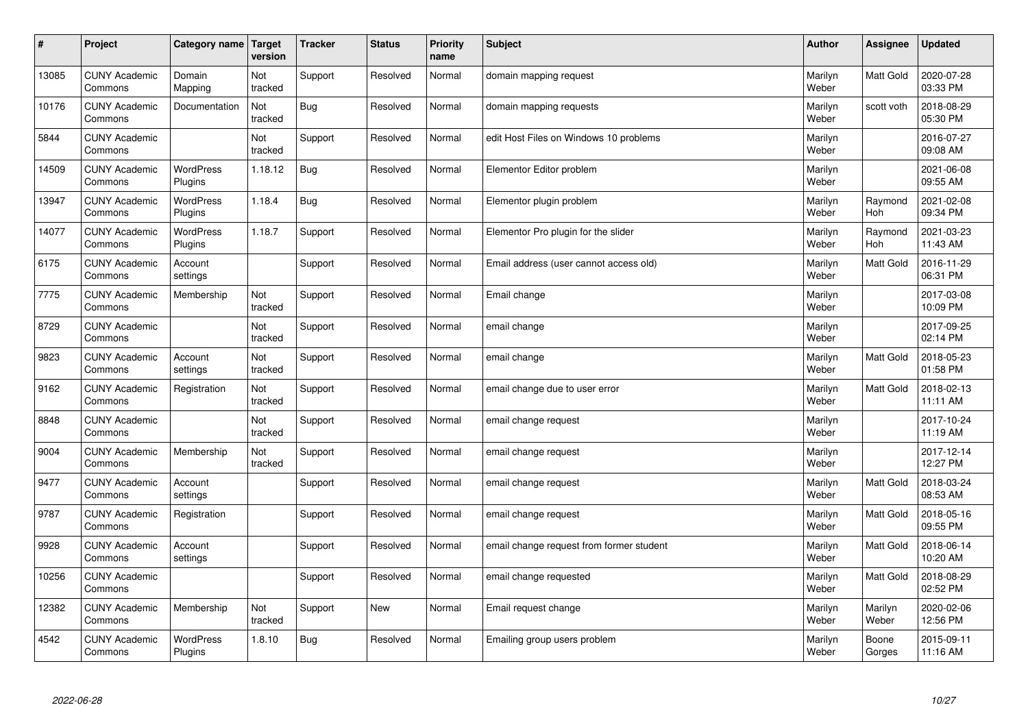| $\sharp$ | Project                         | Category name               | Target<br>version | <b>Tracker</b> | <b>Status</b> | <b>Priority</b><br>name | <b>Subject</b>                           | <b>Author</b>    | Assignee         | <b>Updated</b>         |
|----------|---------------------------------|-----------------------------|-------------------|----------------|---------------|-------------------------|------------------------------------------|------------------|------------------|------------------------|
| 13085    | <b>CUNY Academic</b><br>Commons | Domain<br>Mapping           | Not<br>tracked    | Support        | Resolved      | Normal                  | domain mapping request                   | Marilyn<br>Weber | Matt Gold        | 2020-07-28<br>03:33 PM |
| 10176    | <b>CUNY Academic</b><br>Commons | Documentation               | Not<br>tracked    | Bug            | Resolved      | Normal                  | domain mapping requests                  | Marilyn<br>Weber | scott voth       | 2018-08-29<br>05:30 PM |
| 5844     | <b>CUNY Academic</b><br>Commons |                             | Not<br>tracked    | Support        | Resolved      | Normal                  | edit Host Files on Windows 10 problems   | Marilyn<br>Weber |                  | 2016-07-27<br>09:08 AM |
| 14509    | <b>CUNY Academic</b><br>Commons | WordPress<br>Plugins        | 1.18.12           | Bug            | Resolved      | Normal                  | Elementor Editor problem                 | Marilyn<br>Weber |                  | 2021-06-08<br>09:55 AM |
| 13947    | <b>CUNY Academic</b><br>Commons | <b>WordPress</b><br>Plugins | 1.18.4            | <b>Bug</b>     | Resolved      | Normal                  | Elementor plugin problem                 | Marilyn<br>Weber | Raymond<br>Hoh   | 2021-02-08<br>09:34 PM |
| 14077    | <b>CUNY Academic</b><br>Commons | <b>WordPress</b><br>Plugins | 1.18.7            | Support        | Resolved      | Normal                  | Elementor Pro plugin for the slider      | Marilyn<br>Weber | Raymond<br>Hoh   | 2021-03-23<br>11:43 AM |
| 6175     | <b>CUNY Academic</b><br>Commons | Account<br>settings         |                   | Support        | Resolved      | Normal                  | Email address (user cannot access old)   | Marilyn<br>Weber | Matt Gold        | 2016-11-29<br>06:31 PM |
| 7775     | <b>CUNY Academic</b><br>Commons | Membership                  | Not<br>tracked    | Support        | Resolved      | Normal                  | Email change                             | Marilyn<br>Weber |                  | 2017-03-08<br>10:09 PM |
| 8729     | <b>CUNY Academic</b><br>Commons |                             | Not<br>tracked    | Support        | Resolved      | Normal                  | email change                             | Marilyn<br>Weber |                  | 2017-09-25<br>02:14 PM |
| 9823     | <b>CUNY Academic</b><br>Commons | Account<br>settings         | Not<br>tracked    | Support        | Resolved      | Normal                  | email change                             | Marilyn<br>Weber | Matt Gold        | 2018-05-23<br>01:58 PM |
| 9162     | <b>CUNY Academic</b><br>Commons | Registration                | Not<br>tracked    | Support        | Resolved      | Normal                  | email change due to user error           | Marilyn<br>Weber | Matt Gold        | 2018-02-13<br>11:11 AM |
| 8848     | <b>CUNY Academic</b><br>Commons |                             | Not<br>tracked    | Support        | Resolved      | Normal                  | email change request                     | Marilyn<br>Weber |                  | 2017-10-24<br>11:19 AM |
| 9004     | <b>CUNY Academic</b><br>Commons | Membership                  | Not<br>tracked    | Support        | Resolved      | Normal                  | email change request                     | Marilyn<br>Weber |                  | 2017-12-14<br>12:27 PM |
| 9477     | <b>CUNY Academic</b><br>Commons | Account<br>settings         |                   | Support        | Resolved      | Normal                  | email change request                     | Marilyn<br>Weber | Matt Gold        | 2018-03-24<br>08:53 AM |
| 9787     | <b>CUNY Academic</b><br>Commons | Registration                |                   | Support        | Resolved      | Normal                  | email change request                     | Marilyn<br>Weber | Matt Gold        | 2018-05-16<br>09:55 PM |
| 9928     | <b>CUNY Academic</b><br>Commons | Account<br>settings         |                   | Support        | Resolved      | Normal                  | email change request from former student | Marilyn<br>Weber | Matt Gold        | 2018-06-14<br>10:20 AM |
| 10256    | <b>CUNY Academic</b><br>Commons |                             |                   | Support        | Resolved      | Normal                  | email change requested                   | Marilyn<br>Weber | Matt Gold        | 2018-08-29<br>02:52 PM |
| 12382    | <b>CUNY Academic</b><br>Commons | Membership                  | Not<br>tracked    | Support        | <b>New</b>    | Normal                  | Email request change                     | Marilyn<br>Weber | Marilyn<br>Weber | 2020-02-06<br>12:56 PM |
| 4542     | <b>CUNY Academic</b><br>Commons | <b>WordPress</b><br>Plugins | 1.8.10            | <b>Bug</b>     | Resolved      | Normal                  | Emailing group users problem             | Marilyn<br>Weber | Boone<br>Gorges  | 2015-09-11<br>11:16 AM |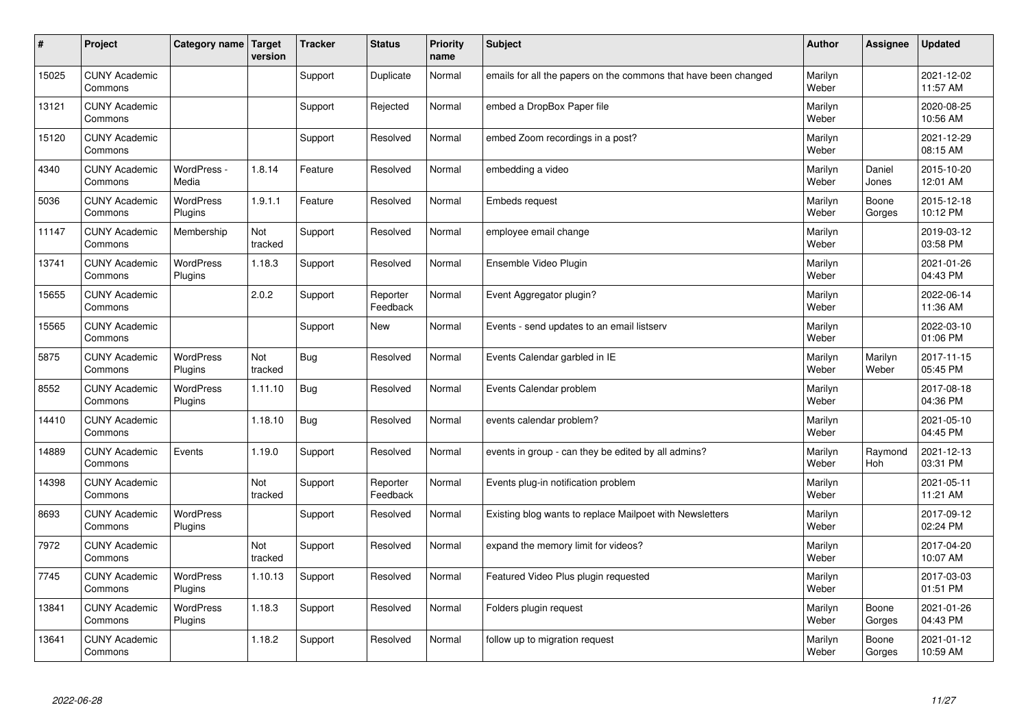| #     | Project                         | Category name   Target      | version        | <b>Tracker</b> | <b>Status</b>        | <b>Priority</b><br>name | <b>Subject</b>                                                  | <b>Author</b>    | Assignee         | <b>Updated</b>         |
|-------|---------------------------------|-----------------------------|----------------|----------------|----------------------|-------------------------|-----------------------------------------------------------------|------------------|------------------|------------------------|
| 15025 | <b>CUNY Academic</b><br>Commons |                             |                | Support        | Duplicate            | Normal                  | emails for all the papers on the commons that have been changed | Marilyn<br>Weber |                  | 2021-12-02<br>11:57 AM |
| 13121 | <b>CUNY Academic</b><br>Commons |                             |                | Support        | Rejected             | Normal                  | embed a DropBox Paper file                                      | Marilyn<br>Weber |                  | 2020-08-25<br>10:56 AM |
| 15120 | <b>CUNY Academic</b><br>Commons |                             |                | Support        | Resolved             | Normal                  | embed Zoom recordings in a post?                                | Marilyn<br>Weber |                  | 2021-12-29<br>08:15 AM |
| 4340  | <b>CUNY Academic</b><br>Commons | WordPress -<br>Media        | 1.8.14         | Feature        | Resolved             | Normal                  | embedding a video                                               | Marilyn<br>Weber | Daniel<br>Jones  | 2015-10-20<br>12:01 AM |
| 5036  | <b>CUNY Academic</b><br>Commons | <b>WordPress</b><br>Plugins | 1.9.1.1        | Feature        | Resolved             | Normal                  | Embeds request                                                  | Marilyn<br>Weber | Boone<br>Gorges  | 2015-12-18<br>10:12 PM |
| 11147 | <b>CUNY Academic</b><br>Commons | Membership                  | Not<br>tracked | Support        | Resolved             | Normal                  | employee email change                                           | Marilyn<br>Weber |                  | 2019-03-12<br>03:58 PM |
| 13741 | <b>CUNY Academic</b><br>Commons | <b>WordPress</b><br>Plugins | 1.18.3         | Support        | Resolved             | Normal                  | Ensemble Video Plugin                                           | Marilyn<br>Weber |                  | 2021-01-26<br>04:43 PM |
| 15655 | <b>CUNY Academic</b><br>Commons |                             | 2.0.2          | Support        | Reporter<br>Feedback | Normal                  | Event Aggregator plugin?                                        | Marilyn<br>Weber |                  | 2022-06-14<br>11:36 AM |
| 15565 | <b>CUNY Academic</b><br>Commons |                             |                | Support        | <b>New</b>           | Normal                  | Events - send updates to an email listserv                      | Marilyn<br>Weber |                  | 2022-03-10<br>01:06 PM |
| 5875  | <b>CUNY Academic</b><br>Commons | <b>WordPress</b><br>Plugins | Not<br>tracked | Bug            | Resolved             | Normal                  | Events Calendar garbled in IE                                   | Marilyn<br>Weber | Marilyn<br>Weber | 2017-11-15<br>05:45 PM |
| 8552  | <b>CUNY Academic</b><br>Commons | <b>WordPress</b><br>Plugins | 1.11.10        | Bug            | Resolved             | Normal                  | Events Calendar problem                                         | Marilyn<br>Weber |                  | 2017-08-18<br>04:36 PM |
| 14410 | <b>CUNY Academic</b><br>Commons |                             | 1.18.10        | Bug            | Resolved             | Normal                  | events calendar problem?                                        | Marilyn<br>Weber |                  | 2021-05-10<br>04:45 PM |
| 14889 | <b>CUNY Academic</b><br>Commons | Events                      | 1.19.0         | Support        | Resolved             | Normal                  | events in group - can they be edited by all admins?             | Marilyn<br>Weber | Raymond<br>Hoh   | 2021-12-13<br>03:31 PM |
| 14398 | <b>CUNY Academic</b><br>Commons |                             | Not<br>tracked | Support        | Reporter<br>Feedback | Normal                  | Events plug-in notification problem                             | Marilyn<br>Weber |                  | 2021-05-11<br>11:21 AM |
| 8693  | <b>CUNY Academic</b><br>Commons | WordPress<br>Plugins        |                | Support        | Resolved             | Normal                  | Existing blog wants to replace Mailpoet with Newsletters        | Marilyn<br>Weber |                  | 2017-09-12<br>02:24 PM |
| 7972  | <b>CUNY Academic</b><br>Commons |                             | Not<br>tracked | Support        | Resolved             | Normal                  | expand the memory limit for videos?                             | Marilyn<br>Weber |                  | 2017-04-20<br>10:07 AM |
| 7745  | <b>CUNY Academic</b><br>Commons | WordPress<br>Plugins        | 1.10.13        | Support        | Resolved             | Normal                  | Featured Video Plus plugin requested                            | Marilyn<br>Weber |                  | 2017-03-03<br>01:51 PM |
| 13841 | <b>CUNY Academic</b><br>Commons | <b>WordPress</b><br>Plugins | 1.18.3         | Support        | Resolved             | Normal                  | Folders plugin request                                          | Marilyn<br>Weber | Boone<br>Gorges  | 2021-01-26<br>04:43 PM |
| 13641 | <b>CUNY Academic</b><br>Commons |                             | 1.18.2         | Support        | Resolved             | Normal                  | follow up to migration request                                  | Marilyn<br>Weber | Boone<br>Gorges  | 2021-01-12<br>10:59 AM |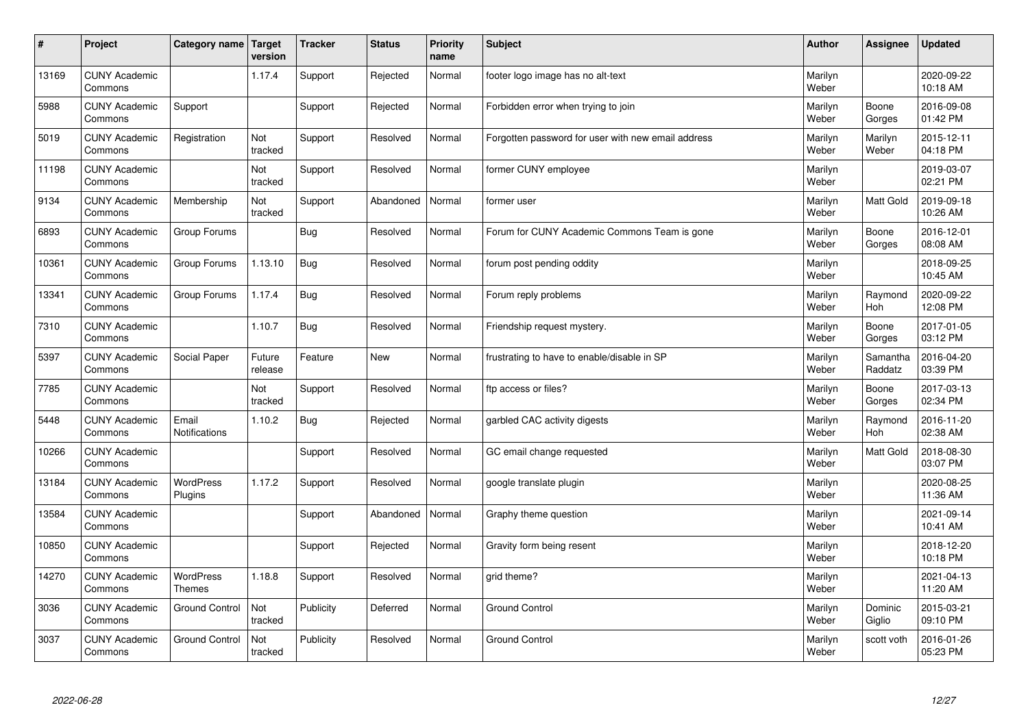| $\vert$ # | Project                         | Category name                     | <b>Target</b><br>version | <b>Tracker</b> | <b>Status</b> | <b>Priority</b><br>name | <b>Subject</b>                                     | <b>Author</b>    | <b>Assignee</b>     | <b>Updated</b>         |
|-----------|---------------------------------|-----------------------------------|--------------------------|----------------|---------------|-------------------------|----------------------------------------------------|------------------|---------------------|------------------------|
| 13169     | <b>CUNY Academic</b><br>Commons |                                   | 1.17.4                   | Support        | Rejected      | Normal                  | footer logo image has no alt-text                  | Marilyn<br>Weber |                     | 2020-09-22<br>10:18 AM |
| 5988      | <b>CUNY Academic</b><br>Commons | Support                           |                          | Support        | Rejected      | Normal                  | Forbidden error when trying to join                | Marilyn<br>Weber | Boone<br>Gorges     | 2016-09-08<br>01:42 PM |
| 5019      | <b>CUNY Academic</b><br>Commons | Registration                      | Not<br>tracked           | Support        | Resolved      | Normal                  | Forgotten password for user with new email address | Marilyn<br>Weber | Marilyn<br>Weber    | 2015-12-11<br>04:18 PM |
| 11198     | <b>CUNY Academic</b><br>Commons |                                   | Not<br>tracked           | Support        | Resolved      | Normal                  | former CUNY employee                               | Marilyn<br>Weber |                     | 2019-03-07<br>02:21 PM |
| 9134      | <b>CUNY Academic</b><br>Commons | Membership                        | Not<br>tracked           | Support        | Abandoned     | Normal                  | former user                                        | Marilyn<br>Weber | Matt Gold           | 2019-09-18<br>10:26 AM |
| 6893      | <b>CUNY Academic</b><br>Commons | Group Forums                      |                          | <b>Bug</b>     | Resolved      | Normal                  | Forum for CUNY Academic Commons Team is gone       | Marilyn<br>Weber | Boone<br>Gorges     | 2016-12-01<br>08:08 AM |
| 10361     | <b>CUNY Academic</b><br>Commons | Group Forums                      | 1.13.10                  | <b>Bug</b>     | Resolved      | Normal                  | forum post pending oddity                          | Marilyn<br>Weber |                     | 2018-09-25<br>10:45 AM |
| 13341     | <b>CUNY Academic</b><br>Commons | Group Forums                      | 1.17.4                   | Bug            | Resolved      | Normal                  | Forum reply problems                               | Marilyn<br>Weber | Raymond<br>Hoh      | 2020-09-22<br>12:08 PM |
| 7310      | <b>CUNY Academic</b><br>Commons |                                   | 1.10.7                   | <b>Bug</b>     | Resolved      | Normal                  | Friendship request mystery.                        | Marilyn<br>Weber | Boone<br>Gorges     | 2017-01-05<br>03:12 PM |
| 5397      | <b>CUNY Academic</b><br>Commons | Social Paper                      | Future<br>release        | Feature        | <b>New</b>    | Normal                  | frustrating to have to enable/disable in SP        | Marilyn<br>Weber | Samantha<br>Raddatz | 2016-04-20<br>03:39 PM |
| 7785      | <b>CUNY Academic</b><br>Commons |                                   | Not<br>tracked           | Support        | Resolved      | Normal                  | ftp access or files?                               | Marilyn<br>Weber | Boone<br>Gorges     | 2017-03-13<br>02:34 PM |
| 5448      | <b>CUNY Academic</b><br>Commons | Email<br><b>Notifications</b>     | 1.10.2                   | <b>Bug</b>     | Rejected      | Normal                  | garbled CAC activity digests                       | Marilyn<br>Weber | Raymond<br>Hoh      | 2016-11-20<br>02:38 AM |
| 10266     | <b>CUNY Academic</b><br>Commons |                                   |                          | Support        | Resolved      | Normal                  | GC email change requested                          | Marilyn<br>Weber | Matt Gold           | 2018-08-30<br>03:07 PM |
| 13184     | <b>CUNY Academic</b><br>Commons | <b>WordPress</b><br>Plugins       | 1.17.2                   | Support        | Resolved      | Normal                  | google translate plugin                            | Marilyn<br>Weber |                     | 2020-08-25<br>11:36 AM |
| 13584     | <b>CUNY Academic</b><br>Commons |                                   |                          | Support        | Abandoned     | Normal                  | Graphy theme question                              | Marilyn<br>Weber |                     | 2021-09-14<br>10:41 AM |
| 10850     | <b>CUNY Academic</b><br>Commons |                                   |                          | Support        | Rejected      | Normal                  | Gravity form being resent                          | Marilyn<br>Weber |                     | 2018-12-20<br>10:18 PM |
| 14270     | <b>CUNY Academic</b><br>Commons | <b>WordPress</b><br><b>Themes</b> | 1.18.8                   | Support        | Resolved      | Normal                  | grid theme?                                        | Marilyn<br>Weber |                     | 2021-04-13<br>11:20 AM |
| 3036      | <b>CUNY Academic</b><br>Commons | <b>Ground Control</b>             | Not<br>tracked           | Publicity      | Deferred      | Normal                  | <b>Ground Control</b>                              | Marilyn<br>Weber | Dominic<br>Giglio   | 2015-03-21<br>09:10 PM |
| 3037      | <b>CUNY Academic</b><br>Commons | <b>Ground Control</b>             | Not<br>tracked           | Publicity      | Resolved      | Normal                  | <b>Ground Control</b>                              | Marilyn<br>Weber | scott voth          | 2016-01-26<br>05:23 PM |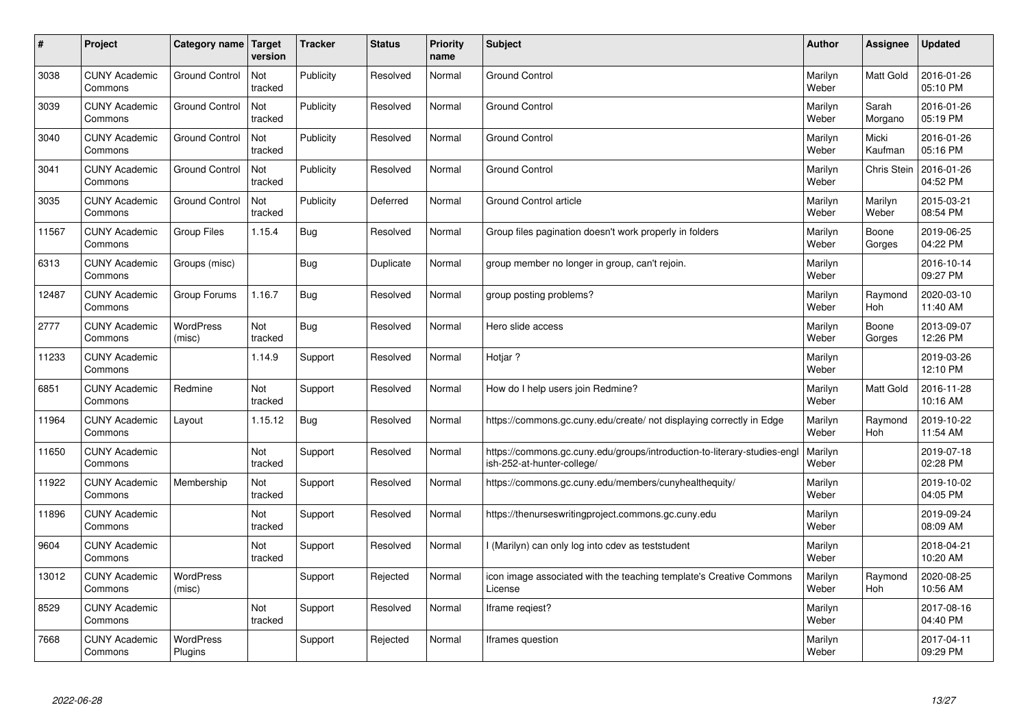| $\vert$ # | Project                         | Category name               | <b>Target</b><br>version | <b>Tracker</b> | <b>Status</b> | <b>Priority</b><br>name | <b>Subject</b>                                                                                        | <b>Author</b>    | <b>Assignee</b>  | <b>Updated</b>         |
|-----------|---------------------------------|-----------------------------|--------------------------|----------------|---------------|-------------------------|-------------------------------------------------------------------------------------------------------|------------------|------------------|------------------------|
| 3038      | <b>CUNY Academic</b><br>Commons | <b>Ground Control</b>       | Not<br>tracked           | Publicity      | Resolved      | Normal                  | <b>Ground Control</b>                                                                                 | Marilyn<br>Weber | <b>Matt Gold</b> | 2016-01-26<br>05:10 PM |
| 3039      | <b>CUNY Academic</b><br>Commons | <b>Ground Control</b>       | Not<br>tracked           | Publicity      | Resolved      | Normal                  | <b>Ground Control</b>                                                                                 | Marilyn<br>Weber | Sarah<br>Morgano | 2016-01-26<br>05:19 PM |
| 3040      | <b>CUNY Academic</b><br>Commons | <b>Ground Control</b>       | Not<br>tracked           | Publicity      | Resolved      | Normal                  | <b>Ground Control</b>                                                                                 | Marilyn<br>Weber | Micki<br>Kaufman | 2016-01-26<br>05:16 PM |
| 3041      | <b>CUNY Academic</b><br>Commons | <b>Ground Control</b>       | Not<br>tracked           | Publicity      | Resolved      | Normal                  | <b>Ground Control</b>                                                                                 | Marilyn<br>Weber | Chris Stein      | 2016-01-26<br>04:52 PM |
| 3035      | <b>CUNY Academic</b><br>Commons | <b>Ground Control</b>       | Not<br>tracked           | Publicity      | Deferred      | Normal                  | <b>Ground Control article</b>                                                                         | Marilyn<br>Weber | Marilyn<br>Weber | 2015-03-21<br>08:54 PM |
| 11567     | <b>CUNY Academic</b><br>Commons | <b>Group Files</b>          | 1.15.4                   | <b>Bug</b>     | Resolved      | Normal                  | Group files pagination doesn't work properly in folders                                               | Marilyn<br>Weber | Boone<br>Gorges  | 2019-06-25<br>04:22 PM |
| 6313      | <b>CUNY Academic</b><br>Commons | Groups (misc)               |                          | Bug            | Duplicate     | Normal                  | group member no longer in group, can't rejoin.                                                        | Marilyn<br>Weber |                  | 2016-10-14<br>09:27 PM |
| 12487     | <b>CUNY Academic</b><br>Commons | Group Forums                | 1.16.7                   | Bug            | Resolved      | Normal                  | group posting problems?                                                                               | Marilyn<br>Weber | Raymond<br>Hoh   | 2020-03-10<br>11:40 AM |
| 2777      | <b>CUNY Academic</b><br>Commons | WordPress<br>(misc)         | Not<br>tracked           | Bug            | Resolved      | Normal                  | Hero slide access                                                                                     | Marilyn<br>Weber | Boone<br>Gorges  | 2013-09-07<br>12:26 PM |
| 11233     | <b>CUNY Academic</b><br>Commons |                             | 1.14.9                   | Support        | Resolved      | Normal                  | Hotiar?                                                                                               | Marilyn<br>Weber |                  | 2019-03-26<br>12:10 PM |
| 6851      | <b>CUNY Academic</b><br>Commons | Redmine                     | Not<br>tracked           | Support        | Resolved      | Normal                  | How do I help users join Redmine?                                                                     | Marilyn<br>Weber | Matt Gold        | 2016-11-28<br>10:16 AM |
| 11964     | <b>CUNY Academic</b><br>Commons | Layout                      | 1.15.12                  | Bug            | Resolved      | Normal                  | https://commons.gc.cuny.edu/create/ not displaying correctly in Edge                                  | Marilyn<br>Weber | Raymond<br>Hoh   | 2019-10-22<br>11:54 AM |
| 11650     | <b>CUNY Academic</b><br>Commons |                             | Not<br>tracked           | Support        | Resolved      | Normal                  | https://commons.gc.cuny.edu/groups/introduction-to-literary-studies-eng<br>ish-252-at-hunter-college/ | Marilyn<br>Weber |                  | 2019-07-18<br>02:28 PM |
| 11922     | <b>CUNY Academic</b><br>Commons | Membership                  | Not<br>tracked           | Support        | Resolved      | Normal                  | https://commons.gc.cuny.edu/members/cunyhealthequity/                                                 | Marilyn<br>Weber |                  | 2019-10-02<br>04:05 PM |
| 11896     | <b>CUNY Academic</b><br>Commons |                             | Not<br>tracked           | Support        | Resolved      | Normal                  | https://thenurseswritingproject.commons.gc.cuny.edu                                                   | Marilyn<br>Weber |                  | 2019-09-24<br>08:09 AM |
| 9604      | <b>CUNY Academic</b><br>Commons |                             | Not<br>tracked           | Support        | Resolved      | Normal                  | l (Marilyn) can only log into cdev as teststudent                                                     | Marilyn<br>Weber |                  | 2018-04-21<br>10:20 AM |
| 13012     | <b>CUNY Academic</b><br>Commons | <b>WordPress</b><br>(misc)  |                          | Support        | Rejected      | Normal                  | icon image associated with the teaching template's Creative Commons<br>License                        | Marilyn<br>Weber | Raymond<br>Hoh   | 2020-08-25<br>10:56 AM |
| 8529      | <b>CUNY Academic</b><br>Commons |                             | Not<br>tracked           | Support        | Resolved      | Normal                  | Iframe regiest?                                                                                       | Marilyn<br>Weber |                  | 2017-08-16<br>04:40 PM |
| 7668      | <b>CUNY Academic</b><br>Commons | <b>WordPress</b><br>Plugins |                          | Support        | Rejected      | Normal                  | Iframes question                                                                                      | Marilyn<br>Weber |                  | 2017-04-11<br>09:29 PM |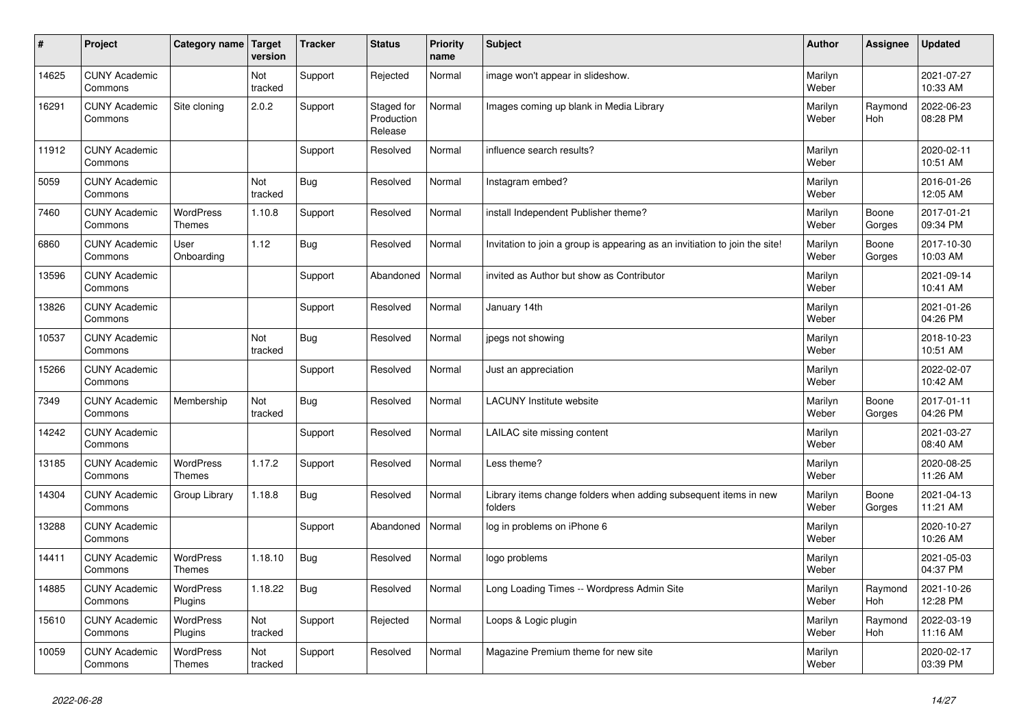| #     | Project                         | Category name   Target            | version        | <b>Tracker</b> | <b>Status</b>                       | <b>Priority</b><br>name | <b>Subject</b>                                                              | <b>Author</b>    | Assignee        | <b>Updated</b>         |
|-------|---------------------------------|-----------------------------------|----------------|----------------|-------------------------------------|-------------------------|-----------------------------------------------------------------------------|------------------|-----------------|------------------------|
| 14625 | <b>CUNY Academic</b><br>Commons |                                   | Not<br>tracked | Support        | Rejected                            | Normal                  | image won't appear in slideshow.                                            | Marilyn<br>Weber |                 | 2021-07-27<br>10:33 AM |
| 16291 | <b>CUNY Academic</b><br>Commons | Site cloning                      | 2.0.2          | Support        | Staged for<br>Production<br>Release | Normal                  | Images coming up blank in Media Library                                     | Marilyn<br>Weber | Raymond<br>Hoh  | 2022-06-23<br>08:28 PM |
| 11912 | <b>CUNY Academic</b><br>Commons |                                   |                | Support        | Resolved                            | Normal                  | influence search results?                                                   | Marilyn<br>Weber |                 | 2020-02-11<br>10:51 AM |
| 5059  | <b>CUNY Academic</b><br>Commons |                                   | Not<br>tracked | <b>Bug</b>     | Resolved                            | Normal                  | Instagram embed?                                                            | Marilyn<br>Weber |                 | 2016-01-26<br>12:05 AM |
| 7460  | <b>CUNY Academic</b><br>Commons | <b>WordPress</b><br><b>Themes</b> | 1.10.8         | Support        | Resolved                            | Normal                  | install Independent Publisher theme?                                        | Marilyn<br>Weber | Boone<br>Gorges | 2017-01-21<br>09:34 PM |
| 6860  | <b>CUNY Academic</b><br>Commons | User<br>Onboarding                | 1.12           | <b>Bug</b>     | Resolved                            | Normal                  | Invitation to join a group is appearing as an invitiation to join the site! | Marilyn<br>Weber | Boone<br>Gorges | 2017-10-30<br>10:03 AM |
| 13596 | <b>CUNY Academic</b><br>Commons |                                   |                | Support        | Abandoned                           | Normal                  | invited as Author but show as Contributor                                   | Marilyn<br>Weber |                 | 2021-09-14<br>10:41 AM |
| 13826 | <b>CUNY Academic</b><br>Commons |                                   |                | Support        | Resolved                            | Normal                  | January 14th                                                                | Marilyn<br>Weber |                 | 2021-01-26<br>04:26 PM |
| 10537 | <b>CUNY Academic</b><br>Commons |                                   | Not<br>tracked | <b>Bug</b>     | Resolved                            | Normal                  | jpegs not showing                                                           | Marilyn<br>Weber |                 | 2018-10-23<br>10:51 AM |
| 15266 | <b>CUNY Academic</b><br>Commons |                                   |                | Support        | Resolved                            | Normal                  | Just an appreciation                                                        | Marilyn<br>Weber |                 | 2022-02-07<br>10:42 AM |
| 7349  | <b>CUNY Academic</b><br>Commons | Membership                        | Not<br>tracked | <b>Bug</b>     | Resolved                            | Normal                  | <b>LACUNY Institute website</b>                                             | Marilyn<br>Weber | Boone<br>Gorges | 2017-01-11<br>04:26 PM |
| 14242 | <b>CUNY Academic</b><br>Commons |                                   |                | Support        | Resolved                            | Normal                  | LAILAC site missing content                                                 | Marilyn<br>Weber |                 | 2021-03-27<br>08:40 AM |
| 13185 | <b>CUNY Academic</b><br>Commons | <b>WordPress</b><br><b>Themes</b> | 1.17.2         | Support        | Resolved                            | Normal                  | Less theme?                                                                 | Marilyn<br>Weber |                 | 2020-08-25<br>11:26 AM |
| 14304 | <b>CUNY Academic</b><br>Commons | Group Library                     | 1.18.8         | <b>Bug</b>     | Resolved                            | Normal                  | Library items change folders when adding subsequent items in new<br>folders | Marilyn<br>Weber | Boone<br>Gorges | 2021-04-13<br>11:21 AM |
| 13288 | <b>CUNY Academic</b><br>Commons |                                   |                | Support        | Abandoned                           | Normal                  | log in problems on iPhone 6                                                 | Marilyn<br>Weber |                 | 2020-10-27<br>10:26 AM |
| 14411 | <b>CUNY Academic</b><br>Commons | <b>WordPress</b><br><b>Themes</b> | 1.18.10        | <b>Bug</b>     | Resolved                            | Normal                  | logo problems                                                               | Marilyn<br>Weber |                 | 2021-05-03<br>04:37 PM |
| 14885 | <b>CUNY Academic</b><br>Commons | WordPress<br>Plugins              | 1.18.22        | <b>Bug</b>     | Resolved                            | Normal                  | Long Loading Times -- Wordpress Admin Site                                  | Marilyn<br>Weber | Raymond<br>Hoh  | 2021-10-26<br>12:28 PM |
| 15610 | <b>CUNY Academic</b><br>Commons | WordPress<br>Plugins              | Not<br>tracked | Support        | Rejected                            | Normal                  | Loops & Logic plugin                                                        | Marilyn<br>Weber | Raymond<br>Hoh  | 2022-03-19<br>11:16 AM |
| 10059 | <b>CUNY Academic</b><br>Commons | <b>WordPress</b><br><b>Themes</b> | Not<br>tracked | Support        | Resolved                            | Normal                  | Magazine Premium theme for new site                                         | Marilyn<br>Weber |                 | 2020-02-17<br>03:39 PM |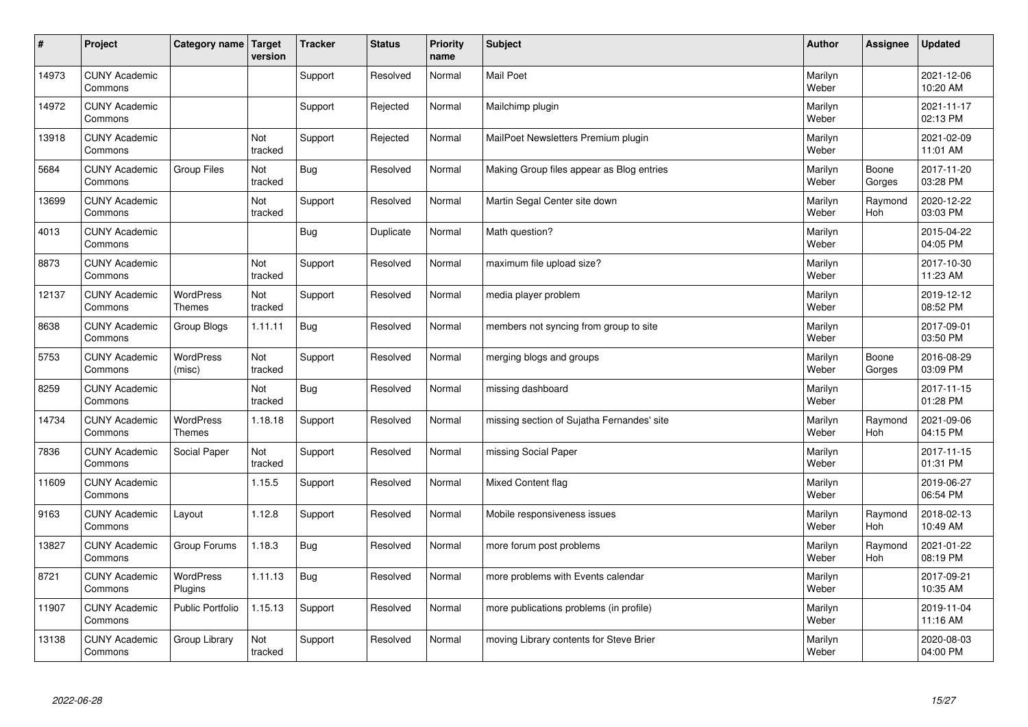| $\sharp$ | Project                         | Category name   Target     | version        | <b>Tracker</b> | <b>Status</b> | <b>Priority</b><br>name | <b>Subject</b>                             | <b>Author</b>    | Assignee        | <b>Updated</b>         |
|----------|---------------------------------|----------------------------|----------------|----------------|---------------|-------------------------|--------------------------------------------|------------------|-----------------|------------------------|
| 14973    | <b>CUNY Academic</b><br>Commons |                            |                | Support        | Resolved      | Normal                  | <b>Mail Poet</b>                           | Marilyn<br>Weber |                 | 2021-12-06<br>10:20 AM |
| 14972    | <b>CUNY Academic</b><br>Commons |                            |                | Support        | Rejected      | Normal                  | Mailchimp plugin                           | Marilyn<br>Weber |                 | 2021-11-17<br>02:13 PM |
| 13918    | <b>CUNY Academic</b><br>Commons |                            | Not<br>tracked | Support        | Rejected      | Normal                  | MailPoet Newsletters Premium plugin        | Marilyn<br>Weber |                 | 2021-02-09<br>11:01 AM |
| 5684     | <b>CUNY Academic</b><br>Commons | Group Files                | Not<br>tracked | Bug            | Resolved      | Normal                  | Making Group files appear as Blog entries  | Marilyn<br>Weber | Boone<br>Gorges | 2017-11-20<br>03:28 PM |
| 13699    | <b>CUNY Academic</b><br>Commons |                            | Not<br>tracked | Support        | Resolved      | Normal                  | Martin Segal Center site down              | Marilyn<br>Weber | Raymond<br>Hoh  | 2020-12-22<br>03:03 PM |
| 4013     | <b>CUNY Academic</b><br>Commons |                            |                | <b>Bug</b>     | Duplicate     | Normal                  | Math question?                             | Marilyn<br>Weber |                 | 2015-04-22<br>04:05 PM |
| 8873     | <b>CUNY Academic</b><br>Commons |                            | Not<br>tracked | Support        | Resolved      | Normal                  | maximum file upload size?                  | Marilyn<br>Weber |                 | 2017-10-30<br>11:23 AM |
| 12137    | <b>CUNY Academic</b><br>Commons | WordPress<br><b>Themes</b> | Not<br>tracked | Support        | Resolved      | Normal                  | media player problem                       | Marilyn<br>Weber |                 | 2019-12-12<br>08:52 PM |
| 8638     | <b>CUNY Academic</b><br>Commons | Group Blogs                | 1.11.11        | <b>Bug</b>     | Resolved      | Normal                  | members not syncing from group to site     | Marilyn<br>Weber |                 | 2017-09-01<br>03:50 PM |
| 5753     | <b>CUNY Academic</b><br>Commons | <b>WordPress</b><br>(misc) | Not<br>tracked | Support        | Resolved      | Normal                  | merging blogs and groups                   | Marilyn<br>Weber | Boone<br>Gorges | 2016-08-29<br>03:09 PM |
| 8259     | <b>CUNY Academic</b><br>Commons |                            | Not<br>tracked | <b>Bug</b>     | Resolved      | Normal                  | missing dashboard                          | Marilyn<br>Weber |                 | 2017-11-15<br>01:28 PM |
| 14734    | <b>CUNY Academic</b><br>Commons | WordPress<br><b>Themes</b> | 1.18.18        | Support        | Resolved      | Normal                  | missing section of Sujatha Fernandes' site | Marilyn<br>Weber | Raymond<br>Hoh  | 2021-09-06<br>04:15 PM |
| 7836     | <b>CUNY Academic</b><br>Commons | Social Paper               | Not<br>tracked | Support        | Resolved      | Normal                  | missing Social Paper                       | Marilyn<br>Weber |                 | 2017-11-15<br>01:31 PM |
| 11609    | <b>CUNY Academic</b><br>Commons |                            | 1.15.5         | Support        | Resolved      | Normal                  | Mixed Content flag                         | Marilyn<br>Weber |                 | 2019-06-27<br>06:54 PM |
| 9163     | <b>CUNY Academic</b><br>Commons | Layout                     | 1.12.8         | Support        | Resolved      | Normal                  | Mobile responsiveness issues               | Marilyn<br>Weber | Raymond<br>Hoh  | 2018-02-13<br>10:49 AM |
| 13827    | <b>CUNY Academic</b><br>Commons | Group Forums               | 1.18.3         | Bug            | Resolved      | Normal                  | more forum post problems                   | Marilyn<br>Weber | Raymond<br>Hoh  | 2021-01-22<br>08:19 PM |
| 8721     | <b>CUNY Academic</b><br>Commons | WordPress<br>Plugins       | 1.11.13        | <b>Bug</b>     | Resolved      | Normal                  | more problems with Events calendar         | Marilyn<br>Weber |                 | 2017-09-21<br>10:35 AM |
| 11907    | <b>CUNY Academic</b><br>Commons | Public Portfolio           | 1.15.13        | Support        | Resolved      | Normal                  | more publications problems (in profile)    | Marilyn<br>Weber |                 | 2019-11-04<br>11:16 AM |
| 13138    | <b>CUNY Academic</b><br>Commons | Group Library              | Not<br>tracked | Support        | Resolved      | Normal                  | moving Library contents for Steve Brier    | Marilyn<br>Weber |                 | 2020-08-03<br>04:00 PM |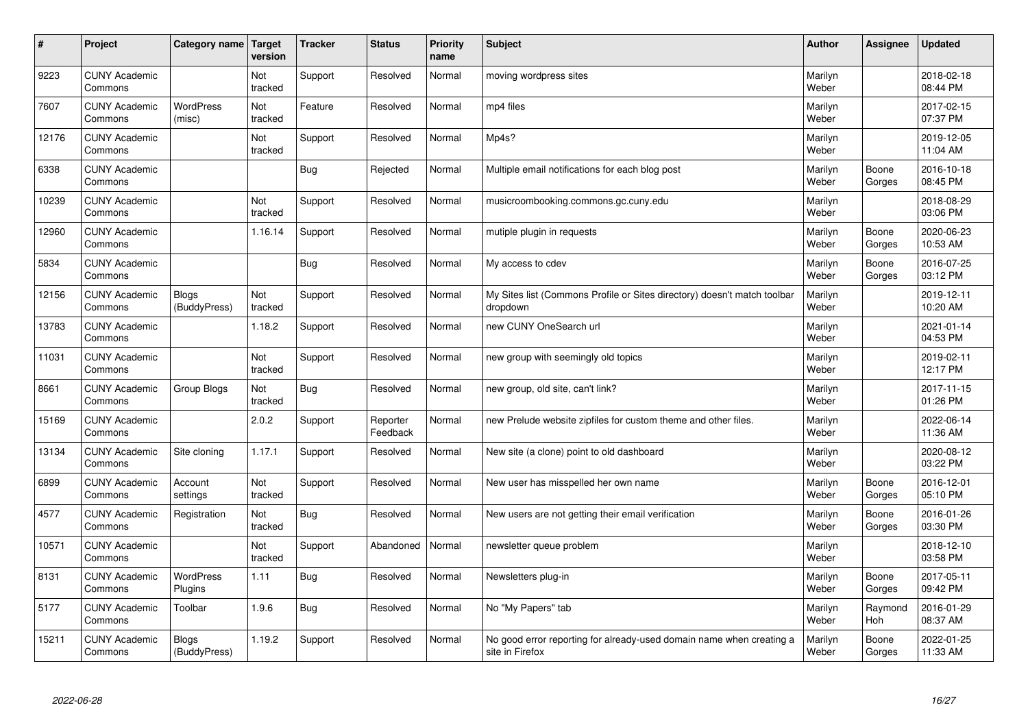| #     | Project                         | Category name              | Target<br>version | <b>Tracker</b> | <b>Status</b>        | <b>Priority</b><br>name | <b>Subject</b>                                                                          | <b>Author</b>    | Assignee        | Updated                |
|-------|---------------------------------|----------------------------|-------------------|----------------|----------------------|-------------------------|-----------------------------------------------------------------------------------------|------------------|-----------------|------------------------|
| 9223  | <b>CUNY Academic</b><br>Commons |                            | Not<br>tracked    | Support        | Resolved             | Normal                  | moving wordpress sites                                                                  | Marilyn<br>Weber |                 | 2018-02-18<br>08:44 PM |
| 7607  | <b>CUNY Academic</b><br>Commons | <b>WordPress</b><br>(misc) | Not<br>tracked    | Feature        | Resolved             | Normal                  | mp4 files                                                                               | Marilyn<br>Weber |                 | 2017-02-15<br>07:37 PM |
| 12176 | <b>CUNY Academic</b><br>Commons |                            | Not<br>tracked    | Support        | Resolved             | Normal                  | Mp4s?                                                                                   | Marilyn<br>Weber |                 | 2019-12-05<br>11:04 AM |
| 6338  | <b>CUNY Academic</b><br>Commons |                            |                   | <b>Bug</b>     | Rejected             | Normal                  | Multiple email notifications for each blog post                                         | Marilyn<br>Weber | Boone<br>Gorges | 2016-10-18<br>08:45 PM |
| 10239 | <b>CUNY Academic</b><br>Commons |                            | Not<br>tracked    | Support        | Resolved             | Normal                  | musicroombooking.commons.gc.cuny.edu                                                    | Marilyn<br>Weber |                 | 2018-08-29<br>03:06 PM |
| 12960 | <b>CUNY Academic</b><br>Commons |                            | 1.16.14           | Support        | Resolved             | Normal                  | mutiple plugin in requests                                                              | Marilyn<br>Weber | Boone<br>Gorges | 2020-06-23<br>10:53 AM |
| 5834  | <b>CUNY Academic</b><br>Commons |                            |                   | Bug            | Resolved             | Normal                  | My access to cdev                                                                       | Marilyn<br>Weber | Boone<br>Gorges | 2016-07-25<br>03:12 PM |
| 12156 | <b>CUNY Academic</b><br>Commons | Blogs<br>(BuddyPress)      | Not<br>tracked    | Support        | Resolved             | Normal                  | My Sites list (Commons Profile or Sites directory) doesn't match toolbar<br>dropdown    | Marilyn<br>Weber |                 | 2019-12-11<br>10:20 AM |
| 13783 | <b>CUNY Academic</b><br>Commons |                            | 1.18.2            | Support        | Resolved             | Normal                  | new CUNY OneSearch url                                                                  | Marilyn<br>Weber |                 | 2021-01-14<br>04:53 PM |
| 11031 | <b>CUNY Academic</b><br>Commons |                            | Not<br>tracked    | Support        | Resolved             | Normal                  | new group with seemingly old topics                                                     | Marilyn<br>Weber |                 | 2019-02-11<br>12:17 PM |
| 8661  | <b>CUNY Academic</b><br>Commons | Group Blogs                | Not<br>tracked    | <b>Bug</b>     | Resolved             | Normal                  | new group, old site, can't link?                                                        | Marilyn<br>Weber |                 | 2017-11-15<br>01:26 PM |
| 15169 | <b>CUNY Academic</b><br>Commons |                            | 2.0.2             | Support        | Reporter<br>Feedback | Normal                  | new Prelude website zipfiles for custom theme and other files.                          | Marilyn<br>Weber |                 | 2022-06-14<br>11:36 AM |
| 13134 | <b>CUNY Academic</b><br>Commons | Site cloning               | 1.17.1            | Support        | Resolved             | Normal                  | New site (a clone) point to old dashboard                                               | Marilyn<br>Weber |                 | 2020-08-12<br>03:22 PM |
| 6899  | <b>CUNY Academic</b><br>Commons | Account<br>settings        | Not<br>tracked    | Support        | Resolved             | Normal                  | New user has misspelled her own name                                                    | Marilyn<br>Weber | Boone<br>Gorges | 2016-12-01<br>05:10 PM |
| 4577  | <b>CUNY Academic</b><br>Commons | Registration               | Not<br>tracked    | <b>Bug</b>     | Resolved             | Normal                  | New users are not getting their email verification                                      | Marilyn<br>Weber | Boone<br>Gorges | 2016-01-26<br>03:30 PM |
| 10571 | <b>CUNY Academic</b><br>Commons |                            | Not<br>tracked    | Support        | Abandoned            | Normal                  | newsletter queue problem                                                                | Marilyn<br>Weber |                 | 2018-12-10<br>03:58 PM |
| 8131  | <b>CUNY Academic</b><br>Commons | WordPress<br>Plugins       | 1.11              | <b>Bug</b>     | Resolved             | Normal                  | Newsletters plug-in                                                                     | Marilyn<br>Weber | Boone<br>Gorges | 2017-05-11<br>09:42 PM |
| 5177  | <b>CUNY Academic</b><br>Commons | Toolbar                    | 1.9.6             | <b>Bug</b>     | Resolved             | Normal                  | No "My Papers" tab                                                                      | Marilyn<br>Weber | Raymond<br>Hoh  | 2016-01-29<br>08:37 AM |
| 15211 | <b>CUNY Academic</b><br>Commons | Blogs<br>(BuddyPress)      | 1.19.2            | Support        | Resolved             | Normal                  | No good error reporting for already-used domain name when creating a<br>site in Firefox | Marilyn<br>Weber | Boone<br>Gorges | 2022-01-25<br>11:33 AM |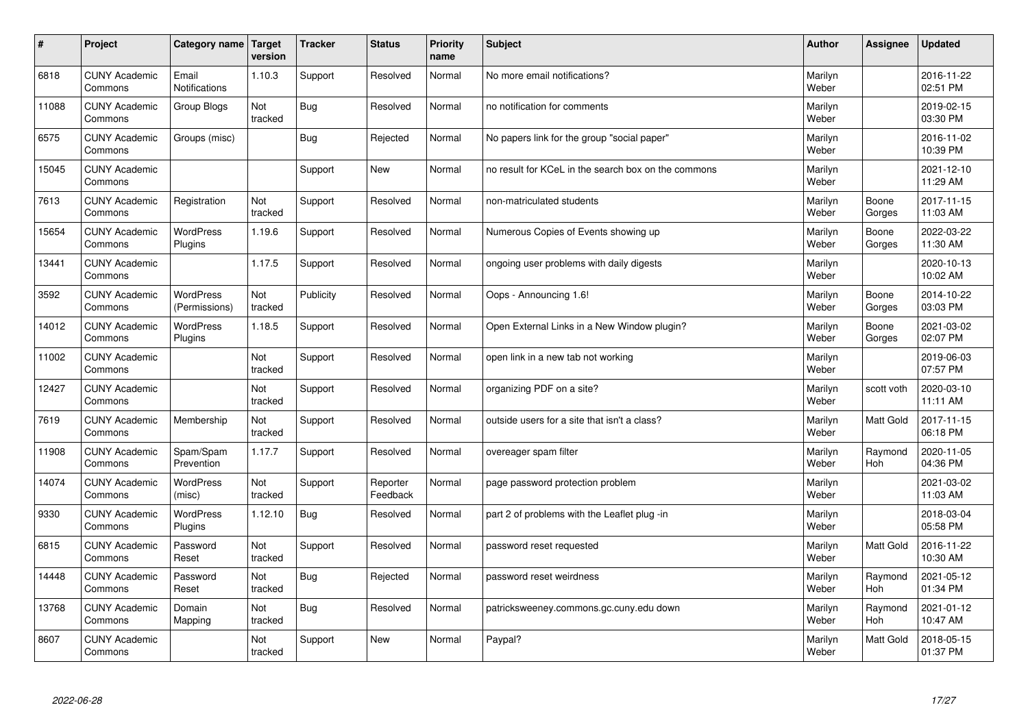| #     | Project                         | Category name   Target            | version        | <b>Tracker</b> | <b>Status</b>        | <b>Priority</b><br>name | <b>Subject</b>                                      | <b>Author</b>    | Assignee         | <b>Updated</b>         |
|-------|---------------------------------|-----------------------------------|----------------|----------------|----------------------|-------------------------|-----------------------------------------------------|------------------|------------------|------------------------|
| 6818  | <b>CUNY Academic</b><br>Commons | Email<br><b>Notifications</b>     | 1.10.3         | Support        | Resolved             | Normal                  | No more email notifications?                        | Marilyn<br>Weber |                  | 2016-11-22<br>02:51 PM |
| 11088 | <b>CUNY Academic</b><br>Commons | Group Blogs                       | Not<br>tracked | Bug            | Resolved             | Normal                  | no notification for comments                        | Marilyn<br>Weber |                  | 2019-02-15<br>03:30 PM |
| 6575  | <b>CUNY Academic</b><br>Commons | Groups (misc)                     |                | Bug            | Rejected             | Normal                  | No papers link for the group "social paper"         | Marilyn<br>Weber |                  | 2016-11-02<br>10:39 PM |
| 15045 | <b>CUNY Academic</b><br>Commons |                                   |                | Support        | <b>New</b>           | Normal                  | no result for KCeL in the search box on the commons | Marilyn<br>Weber |                  | 2021-12-10<br>11:29 AM |
| 7613  | <b>CUNY Academic</b><br>Commons | Registration                      | Not<br>tracked | Support        | Resolved             | Normal                  | non-matriculated students                           | Marilyn<br>Weber | Boone<br>Gorges  | 2017-11-15<br>11:03 AM |
| 15654 | <b>CUNY Academic</b><br>Commons | WordPress<br>Plugins              | 1.19.6         | Support        | Resolved             | Normal                  | Numerous Copies of Events showing up                | Marilyn<br>Weber | Boone<br>Gorges  | 2022-03-22<br>11:30 AM |
| 13441 | <b>CUNY Academic</b><br>Commons |                                   | 1.17.5         | Support        | Resolved             | Normal                  | ongoing user problems with daily digests            | Marilyn<br>Weber |                  | 2020-10-13<br>10:02 AM |
| 3592  | <b>CUNY Academic</b><br>Commons | <b>WordPress</b><br>(Permissions) | Not<br>tracked | Publicity      | Resolved             | Normal                  | Oops - Announcing 1.6!                              | Marilyn<br>Weber | Boone<br>Gorges  | 2014-10-22<br>03:03 PM |
| 14012 | <b>CUNY Academic</b><br>Commons | <b>WordPress</b><br>Plugins       | 1.18.5         | Support        | Resolved             | Normal                  | Open External Links in a New Window plugin?         | Marilyn<br>Weber | Boone<br>Gorges  | 2021-03-02<br>02:07 PM |
| 11002 | <b>CUNY Academic</b><br>Commons |                                   | Not<br>tracked | Support        | Resolved             | Normal                  | open link in a new tab not working                  | Marilyn<br>Weber |                  | 2019-06-03<br>07:57 PM |
| 12427 | <b>CUNY Academic</b><br>Commons |                                   | Not<br>tracked | Support        | Resolved             | Normal                  | organizing PDF on a site?                           | Marilyn<br>Weber | scott voth       | 2020-03-10<br>11:11 AM |
| 7619  | <b>CUNY Academic</b><br>Commons | Membership                        | Not<br>tracked | Support        | Resolved             | Normal                  | outside users for a site that isn't a class?        | Marilyn<br>Weber | Matt Gold        | 2017-11-15<br>06:18 PM |
| 11908 | <b>CUNY Academic</b><br>Commons | Spam/Spam<br>Prevention           | 1.17.7         | Support        | Resolved             | Normal                  | overeager spam filter                               | Marilyn<br>Weber | Raymond<br>Hoh   | 2020-11-05<br>04:36 PM |
| 14074 | <b>CUNY Academic</b><br>Commons | WordPress<br>(misc)               | Not<br>tracked | Support        | Reporter<br>Feedback | Normal                  | page password protection problem                    | Marilyn<br>Weber |                  | 2021-03-02<br>11:03 AM |
| 9330  | <b>CUNY Academic</b><br>Commons | <b>WordPress</b><br>Plugins       | 1.12.10        | <b>Bug</b>     | Resolved             | Normal                  | part 2 of problems with the Leaflet plug -in        | Marilyn<br>Weber |                  | 2018-03-04<br>05:58 PM |
| 6815  | <b>CUNY Academic</b><br>Commons | Password<br>Reset                 | Not<br>tracked | Support        | Resolved             | Normal                  | password reset requested                            | Marilyn<br>Weber | <b>Matt Gold</b> | 2016-11-22<br>10:30 AM |
| 14448 | <b>CUNY Academic</b><br>Commons | Password<br>Reset                 | Not<br>tracked | Bug            | Rejected             | Normal                  | password reset weirdness                            | Marilyn<br>Weber | Raymond<br>Hoh   | 2021-05-12<br>01:34 PM |
| 13768 | <b>CUNY Academic</b><br>Commons | Domain<br>Mapping                 | Not<br>tracked | <b>Bug</b>     | Resolved             | Normal                  | patricksweeney.commons.gc.cuny.edu down             | Marilyn<br>Weber | Raymond<br>Hoh   | 2021-01-12<br>10:47 AM |
| 8607  | <b>CUNY Academic</b><br>Commons |                                   | Not<br>tracked | Support        | <b>New</b>           | Normal                  | Paypal?                                             | Marilyn<br>Weber | <b>Matt Gold</b> | 2018-05-15<br>01:37 PM |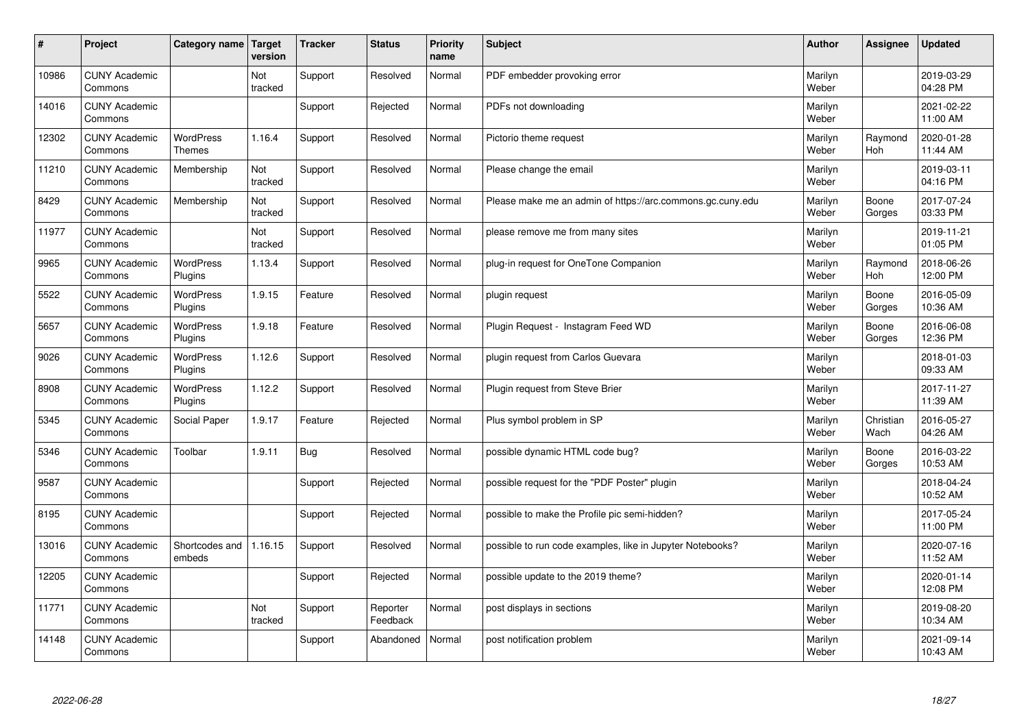| $\sharp$ | Project                         | Category name   Target            | version        | <b>Tracker</b> | <b>Status</b>        | <b>Priority</b><br>name | <b>Subject</b>                                             | <b>Author</b>    | Assignee          | <b>Updated</b>         |
|----------|---------------------------------|-----------------------------------|----------------|----------------|----------------------|-------------------------|------------------------------------------------------------|------------------|-------------------|------------------------|
| 10986    | <b>CUNY Academic</b><br>Commons |                                   | Not<br>tracked | Support        | Resolved             | Normal                  | PDF embedder provoking error                               | Marilyn<br>Weber |                   | 2019-03-29<br>04:28 PM |
| 14016    | <b>CUNY Academic</b><br>Commons |                                   |                | Support        | Rejected             | Normal                  | PDFs not downloading                                       | Marilyn<br>Weber |                   | 2021-02-22<br>11:00 AM |
| 12302    | <b>CUNY Academic</b><br>Commons | <b>WordPress</b><br><b>Themes</b> | 1.16.4         | Support        | Resolved             | Normal                  | Pictorio theme request                                     | Marilyn<br>Weber | Raymond<br>Hoh    | 2020-01-28<br>11:44 AM |
| 11210    | <b>CUNY Academic</b><br>Commons | Membership                        | Not<br>tracked | Support        | Resolved             | Normal                  | Please change the email                                    | Marilyn<br>Weber |                   | 2019-03-11<br>04:16 PM |
| 8429     | <b>CUNY Academic</b><br>Commons | Membership                        | Not<br>tracked | Support        | Resolved             | Normal                  | Please make me an admin of https://arc.commons.gc.cuny.edu | Marilyn<br>Weber | Boone<br>Gorges   | 2017-07-24<br>03:33 PM |
| 11977    | <b>CUNY Academic</b><br>Commons |                                   | Not<br>tracked | Support        | Resolved             | Normal                  | please remove me from many sites                           | Marilyn<br>Weber |                   | 2019-11-21<br>01:05 PM |
| 9965     | <b>CUNY Academic</b><br>Commons | <b>WordPress</b><br>Plugins       | 1.13.4         | Support        | Resolved             | Normal                  | plug-in request for OneTone Companion                      | Marilyn<br>Weber | Raymond<br>Hoh    | 2018-06-26<br>12:00 PM |
| 5522     | <b>CUNY Academic</b><br>Commons | WordPress<br>Plugins              | 1.9.15         | Feature        | Resolved             | Normal                  | plugin request                                             | Marilyn<br>Weber | Boone<br>Gorges   | 2016-05-09<br>10:36 AM |
| 5657     | <b>CUNY Academic</b><br>Commons | WordPress<br>Plugins              | 1.9.18         | Feature        | Resolved             | Normal                  | Plugin Request - Instagram Feed WD                         | Marilyn<br>Weber | Boone<br>Gorges   | 2016-06-08<br>12:36 PM |
| 9026     | <b>CUNY Academic</b><br>Commons | WordPress<br>Plugins              | 1.12.6         | Support        | Resolved             | Normal                  | plugin request from Carlos Guevara                         | Marilyn<br>Weber |                   | 2018-01-03<br>09:33 AM |
| 8908     | <b>CUNY Academic</b><br>Commons | <b>WordPress</b><br>Plugins       | 1.12.2         | Support        | Resolved             | Normal                  | Plugin request from Steve Brier                            | Marilyn<br>Weber |                   | 2017-11-27<br>11:39 AM |
| 5345     | <b>CUNY Academic</b><br>Commons | Social Paper                      | 1.9.17         | Feature        | Rejected             | Normal                  | Plus symbol problem in SP                                  | Marilyn<br>Weber | Christian<br>Wach | 2016-05-27<br>04:26 AM |
| 5346     | <b>CUNY Academic</b><br>Commons | Toolbar                           | 1.9.11         | Bug            | Resolved             | Normal                  | possible dynamic HTML code bug?                            | Marilyn<br>Weber | Boone<br>Gorges   | 2016-03-22<br>10:53 AM |
| 9587     | <b>CUNY Academic</b><br>Commons |                                   |                | Support        | Rejected             | Normal                  | possible request for the "PDF Poster" plugin               | Marilyn<br>Weber |                   | 2018-04-24<br>10:52 AM |
| 8195     | <b>CUNY Academic</b><br>Commons |                                   |                | Support        | Rejected             | Normal                  | possible to make the Profile pic semi-hidden?              | Marilyn<br>Weber |                   | 2017-05-24<br>11:00 PM |
| 13016    | <b>CUNY Academic</b><br>Commons | Shortcodes and<br>embeds          | 1.16.15        | Support        | Resolved             | Normal                  | possible to run code examples, like in Jupyter Notebooks?  | Marilyn<br>Weber |                   | 2020-07-16<br>11:52 AM |
| 12205    | <b>CUNY Academic</b><br>Commons |                                   |                | Support        | Rejected             | Normal                  | possible update to the 2019 theme?                         | Marilyn<br>Weber |                   | 2020-01-14<br>12:08 PM |
| 11771    | <b>CUNY Academic</b><br>Commons |                                   | Not<br>tracked | Support        | Reporter<br>Feedback | Normal                  | post displays in sections                                  | Marilyn<br>Weber |                   | 2019-08-20<br>10:34 AM |
| 14148    | <b>CUNY Academic</b><br>Commons |                                   |                | Support        | Abandoned            | Normal                  | post notification problem                                  | Marilyn<br>Weber |                   | 2021-09-14<br>10:43 AM |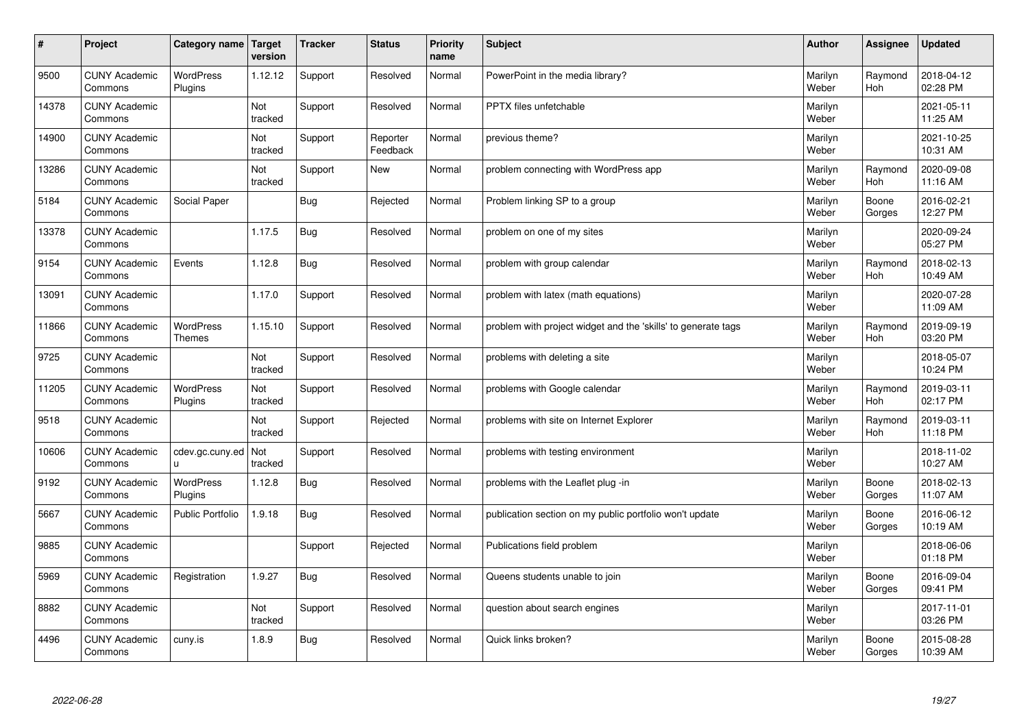| $\sharp$ | Project                         | Category name               | Target<br>version | <b>Tracker</b> | <b>Status</b>        | <b>Priority</b><br>name | <b>Subject</b>                                                | <b>Author</b>    | Assignee              | Updated                |
|----------|---------------------------------|-----------------------------|-------------------|----------------|----------------------|-------------------------|---------------------------------------------------------------|------------------|-----------------------|------------------------|
| 9500     | <b>CUNY Academic</b><br>Commons | <b>WordPress</b><br>Plugins | 1.12.12           | Support        | Resolved             | Normal                  | PowerPoint in the media library?                              | Marilyn<br>Weber | Raymond<br><b>Hoh</b> | 2018-04-12<br>02:28 PM |
| 14378    | <b>CUNY Academic</b><br>Commons |                             | Not<br>tracked    | Support        | Resolved             | Normal                  | <b>PPTX</b> files unfetchable                                 | Marilyn<br>Weber |                       | 2021-05-11<br>11:25 AM |
| 14900    | <b>CUNY Academic</b><br>Commons |                             | Not<br>tracked    | Support        | Reporter<br>Feedback | Normal                  | previous theme?                                               | Marilyn<br>Weber |                       | 2021-10-25<br>10:31 AM |
| 13286    | <b>CUNY Academic</b><br>Commons |                             | Not<br>tracked    | Support        | <b>New</b>           | Normal                  | problem connecting with WordPress app                         | Marilyn<br>Weber | Raymond<br>Hoh        | 2020-09-08<br>11:16 AM |
| 5184     | <b>CUNY Academic</b><br>Commons | Social Paper                |                   | Bug            | Rejected             | Normal                  | Problem linking SP to a group                                 | Marilyn<br>Weber | Boone<br>Gorges       | 2016-02-21<br>12:27 PM |
| 13378    | <b>CUNY Academic</b><br>Commons |                             | 1.17.5            | Bug            | Resolved             | Normal                  | problem on one of my sites                                    | Marilyn<br>Weber |                       | 2020-09-24<br>05:27 PM |
| 9154     | <b>CUNY Academic</b><br>Commons | Events                      | 1.12.8            | Bug            | Resolved             | Normal                  | problem with group calendar                                   | Marilyn<br>Weber | Raymond<br><b>Hoh</b> | 2018-02-13<br>10:49 AM |
| 13091    | <b>CUNY Academic</b><br>Commons |                             | 1.17.0            | Support        | Resolved             | Normal                  | problem with latex (math equations)                           | Marilyn<br>Weber |                       | 2020-07-28<br>11:09 AM |
| 11866    | <b>CUNY Academic</b><br>Commons | WordPress<br><b>Themes</b>  | 1.15.10           | Support        | Resolved             | Normal                  | problem with project widget and the 'skills' to generate tags | Marilyn<br>Weber | Raymond<br>Hoh        | 2019-09-19<br>03:20 PM |
| 9725     | <b>CUNY Academic</b><br>Commons |                             | Not<br>tracked    | Support        | Resolved             | Normal                  | problems with deleting a site                                 | Marilyn<br>Weber |                       | 2018-05-07<br>10:24 PM |
| 11205    | <b>CUNY Academic</b><br>Commons | <b>WordPress</b><br>Plugins | Not<br>tracked    | Support        | Resolved             | Normal                  | problems with Google calendar                                 | Marilyn<br>Weber | Raymond<br>Hoh        | 2019-03-11<br>02:17 PM |
| 9518     | <b>CUNY Academic</b><br>Commons |                             | Not<br>tracked    | Support        | Rejected             | Normal                  | problems with site on Internet Explorer                       | Marilyn<br>Weber | Raymond<br>Hoh        | 2019-03-11<br>11:18 PM |
| 10606    | <b>CUNY Academic</b><br>Commons | cdev.gc.cuny.ed<br>u.       | Not<br>tracked    | Support        | Resolved             | Normal                  | problems with testing environment                             | Marilyn<br>Weber |                       | 2018-11-02<br>10:27 AM |
| 9192     | <b>CUNY Academic</b><br>Commons | WordPress<br>Plugins        | 1.12.8            | <b>Bug</b>     | Resolved             | Normal                  | problems with the Leaflet plug -in                            | Marilyn<br>Weber | Boone<br>Gorges       | 2018-02-13<br>11:07 AM |
| 5667     | <b>CUNY Academic</b><br>Commons | <b>Public Portfolio</b>     | 1.9.18            | Bug            | Resolved             | Normal                  | publication section on my public portfolio won't update       | Marilyn<br>Weber | Boone<br>Gorges       | 2016-06-12<br>10:19 AM |
| 9885     | <b>CUNY Academic</b><br>Commons |                             |                   | Support        | Rejected             | Normal                  | Publications field problem                                    | Marilyn<br>Weber |                       | 2018-06-06<br>01:18 PM |
| 5969     | <b>CUNY Academic</b><br>Commons | Registration                | 1.9.27            | Bug            | Resolved             | Normal                  | Queens students unable to join                                | Marilyn<br>Weber | Boone<br>Gorges       | 2016-09-04<br>09:41 PM |
| 8882     | <b>CUNY Academic</b><br>Commons |                             | Not<br>tracked    | Support        | Resolved             | Normal                  | question about search engines                                 | Marilyn<br>Weber |                       | 2017-11-01<br>03:26 PM |
| 4496     | <b>CUNY Academic</b><br>Commons | cuny.is                     | 1.8.9             | <b>Bug</b>     | Resolved             | Normal                  | Quick links broken?                                           | Marilyn<br>Weber | Boone<br>Gorges       | 2015-08-28<br>10:39 AM |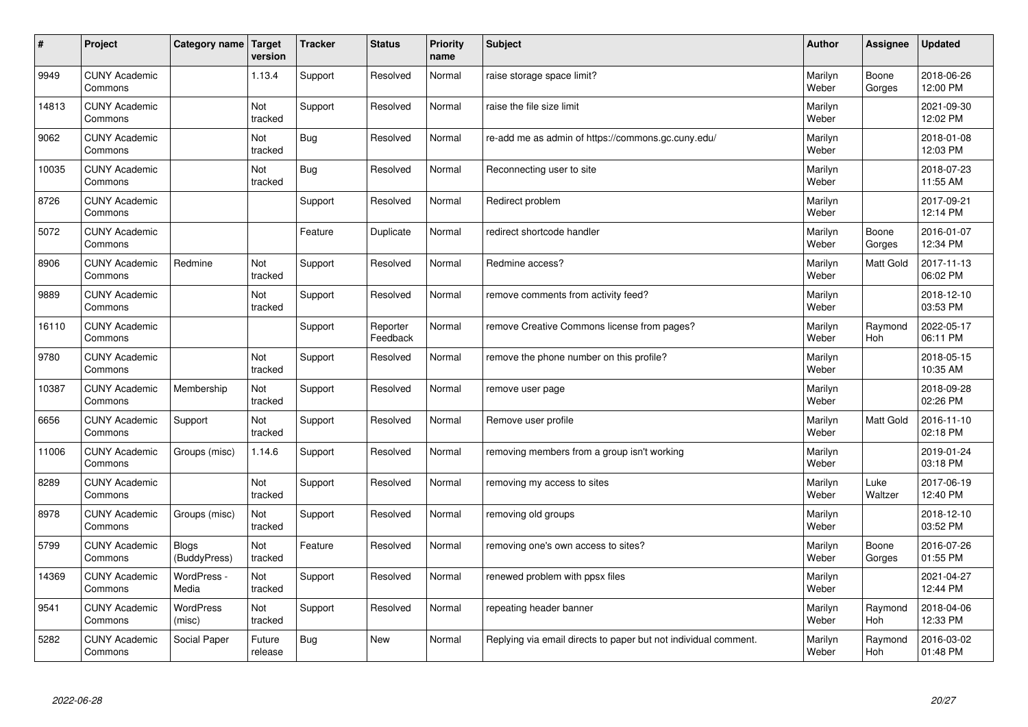| $\sharp$ | Project                         | Category name                | Target<br>version | <b>Tracker</b> | <b>Status</b>        | <b>Priority</b><br>name | <b>Subject</b>                                                  | <b>Author</b>    | Assignee        | <b>Updated</b>         |
|----------|---------------------------------|------------------------------|-------------------|----------------|----------------------|-------------------------|-----------------------------------------------------------------|------------------|-----------------|------------------------|
| 9949     | <b>CUNY Academic</b><br>Commons |                              | 1.13.4            | Support        | Resolved             | Normal                  | raise storage space limit?                                      | Marilyn<br>Weber | Boone<br>Gorges | 2018-06-26<br>12:00 PM |
| 14813    | <b>CUNY Academic</b><br>Commons |                              | Not<br>tracked    | Support        | Resolved             | Normal                  | raise the file size limit                                       | Marilyn<br>Weber |                 | 2021-09-30<br>12:02 PM |
| 9062     | <b>CUNY Academic</b><br>Commons |                              | Not<br>tracked    | <b>Bug</b>     | Resolved             | Normal                  | re-add me as admin of https://commons.gc.cuny.edu/              | Marilyn<br>Weber |                 | 2018-01-08<br>12:03 PM |
| 10035    | <b>CUNY Academic</b><br>Commons |                              | Not<br>tracked    | <b>Bug</b>     | Resolved             | Normal                  | Reconnecting user to site                                       | Marilyn<br>Weber |                 | 2018-07-23<br>11:55 AM |
| 8726     | <b>CUNY Academic</b><br>Commons |                              |                   | Support        | Resolved             | Normal                  | Redirect problem                                                | Marilyn<br>Weber |                 | 2017-09-21<br>12:14 PM |
| 5072     | <b>CUNY Academic</b><br>Commons |                              |                   | Feature        | Duplicate            | Normal                  | redirect shortcode handler                                      | Marilyn<br>Weber | Boone<br>Gorges | 2016-01-07<br>12:34 PM |
| 8906     | <b>CUNY Academic</b><br>Commons | Redmine                      | Not<br>tracked    | Support        | Resolved             | Normal                  | Redmine access?                                                 | Marilyn<br>Weber | Matt Gold       | 2017-11-13<br>06:02 PM |
| 9889     | <b>CUNY Academic</b><br>Commons |                              | Not<br>tracked    | Support        | Resolved             | Normal                  | remove comments from activity feed?                             | Marilyn<br>Weber |                 | 2018-12-10<br>03:53 PM |
| 16110    | <b>CUNY Academic</b><br>Commons |                              |                   | Support        | Reporter<br>Feedback | Normal                  | remove Creative Commons license from pages?                     | Marilyn<br>Weber | Raymond<br>Hoh  | 2022-05-17<br>06:11 PM |
| 9780     | <b>CUNY Academic</b><br>Commons |                              | Not<br>tracked    | Support        | Resolved             | Normal                  | remove the phone number on this profile?                        | Marilyn<br>Weber |                 | 2018-05-15<br>10:35 AM |
| 10387    | <b>CUNY Academic</b><br>Commons | Membership                   | Not<br>tracked    | Support        | Resolved             | Normal                  | remove user page                                                | Marilyn<br>Weber |                 | 2018-09-28<br>02:26 PM |
| 6656     | <b>CUNY Academic</b><br>Commons | Support                      | Not<br>tracked    | Support        | Resolved             | Normal                  | Remove user profile                                             | Marilyn<br>Weber | Matt Gold       | 2016-11-10<br>02:18 PM |
| 11006    | <b>CUNY Academic</b><br>Commons | Groups (misc)                | 1.14.6            | Support        | Resolved             | Normal                  | removing members from a group isn't working                     | Marilyn<br>Weber |                 | 2019-01-24<br>03:18 PM |
| 8289     | <b>CUNY Academic</b><br>Commons |                              | Not<br>tracked    | Support        | Resolved             | Normal                  | removing my access to sites                                     | Marilyn<br>Weber | Luke<br>Waltzer | 2017-06-19<br>12:40 PM |
| 8978     | <b>CUNY Academic</b><br>Commons | Groups (misc)                | Not<br>tracked    | Support        | Resolved             | Normal                  | removing old groups                                             | Marilyn<br>Weber |                 | 2018-12-10<br>03:52 PM |
| 5799     | <b>CUNY Academic</b><br>Commons | <b>Blogs</b><br>(BuddyPress) | Not<br>tracked    | Feature        | Resolved             | Normal                  | removing one's own access to sites?                             | Marilyn<br>Weber | Boone<br>Gorges | 2016-07-26<br>01:55 PM |
| 14369    | <b>CUNY Academic</b><br>Commons | WordPress -<br>Media         | Not<br>tracked    | Support        | Resolved             | Normal                  | renewed problem with ppsx files                                 | Marilyn<br>Weber |                 | 2021-04-27<br>12:44 PM |
| 9541     | <b>CUNY Academic</b><br>Commons | <b>WordPress</b><br>(misc)   | Not<br>tracked    | Support        | Resolved             | Normal                  | repeating header banner                                         | Marilyn<br>Weber | Raymond<br>Hoh  | 2018-04-06<br>12:33 PM |
| 5282     | <b>CUNY Academic</b><br>Commons | Social Paper                 | Future<br>release | Bug            | <b>New</b>           | Normal                  | Replying via email directs to paper but not individual comment. | Marilyn<br>Weber | Raymond<br>Hoh  | 2016-03-02<br>01:48 PM |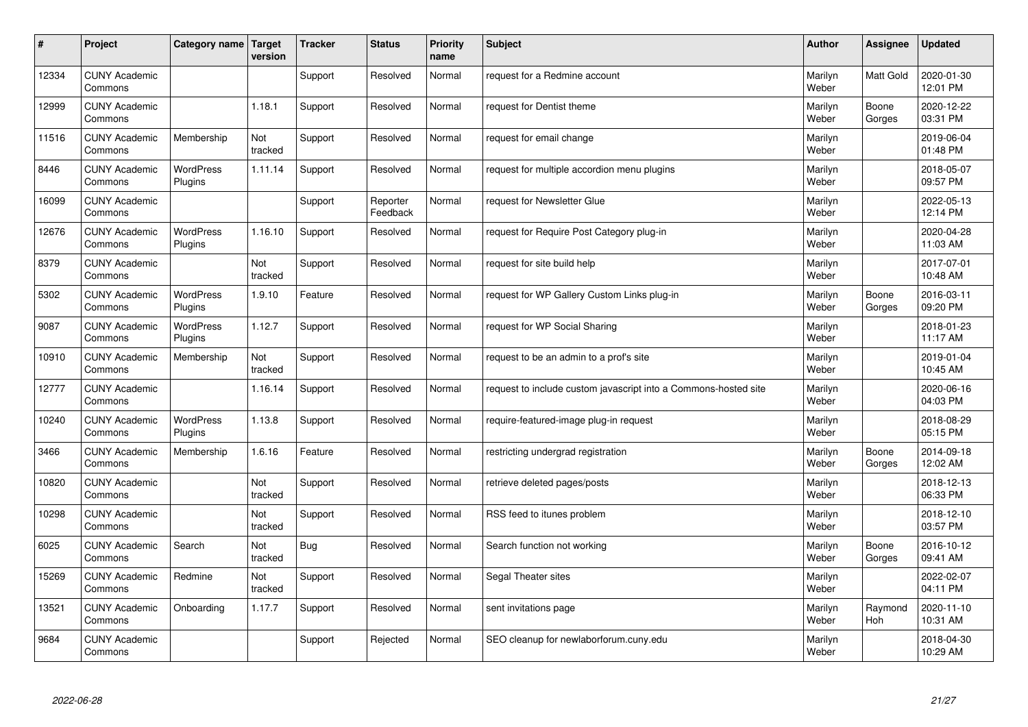| #     | Project                         | Category name   Target      | version        | <b>Tracker</b> | <b>Status</b>        | <b>Priority</b><br>name | <b>Subject</b>                                                  | <b>Author</b>    | Assignee         | <b>Updated</b>         |
|-------|---------------------------------|-----------------------------|----------------|----------------|----------------------|-------------------------|-----------------------------------------------------------------|------------------|------------------|------------------------|
| 12334 | <b>CUNY Academic</b><br>Commons |                             |                | Support        | Resolved             | Normal                  | request for a Redmine account                                   | Marilyn<br>Weber | <b>Matt Gold</b> | 2020-01-30<br>12:01 PM |
| 12999 | <b>CUNY Academic</b><br>Commons |                             | 1.18.1         | Support        | Resolved             | Normal                  | request for Dentist theme                                       | Marilyn<br>Weber | Boone<br>Gorges  | 2020-12-22<br>03:31 PM |
| 11516 | <b>CUNY Academic</b><br>Commons | Membership                  | Not<br>tracked | Support        | Resolved             | Normal                  | request for email change                                        | Marilyn<br>Weber |                  | 2019-06-04<br>01:48 PM |
| 8446  | <b>CUNY Academic</b><br>Commons | <b>WordPress</b><br>Plugins | 1.11.14        | Support        | Resolved             | Normal                  | request for multiple accordion menu plugins                     | Marilyn<br>Weber |                  | 2018-05-07<br>09:57 PM |
| 16099 | <b>CUNY Academic</b><br>Commons |                             |                | Support        | Reporter<br>Feedback | Normal                  | request for Newsletter Glue                                     | Marilyn<br>Weber |                  | 2022-05-13<br>12:14 PM |
| 12676 | <b>CUNY Academic</b><br>Commons | <b>WordPress</b><br>Plugins | 1.16.10        | Support        | Resolved             | Normal                  | request for Require Post Category plug-in                       | Marilyn<br>Weber |                  | 2020-04-28<br>11:03 AM |
| 8379  | <b>CUNY Academic</b><br>Commons |                             | Not<br>tracked | Support        | Resolved             | Normal                  | request for site build help                                     | Marilyn<br>Weber |                  | 2017-07-01<br>10:48 AM |
| 5302  | <b>CUNY Academic</b><br>Commons | WordPress<br>Plugins        | 1.9.10         | Feature        | Resolved             | Normal                  | request for WP Gallery Custom Links plug-in                     | Marilyn<br>Weber | Boone<br>Gorges  | 2016-03-11<br>09:20 PM |
| 9087  | <b>CUNY Academic</b><br>Commons | <b>WordPress</b><br>Plugins | 1.12.7         | Support        | Resolved             | Normal                  | request for WP Social Sharing                                   | Marilyn<br>Weber |                  | 2018-01-23<br>11:17 AM |
| 10910 | <b>CUNY Academic</b><br>Commons | Membership                  | Not<br>tracked | Support        | Resolved             | Normal                  | request to be an admin to a prof's site                         | Marilyn<br>Weber |                  | 2019-01-04<br>10:45 AM |
| 12777 | <b>CUNY Academic</b><br>Commons |                             | 1.16.14        | Support        | Resolved             | Normal                  | request to include custom javascript into a Commons-hosted site | Marilyn<br>Weber |                  | 2020-06-16<br>04:03 PM |
| 10240 | <b>CUNY Academic</b><br>Commons | <b>WordPress</b><br>Plugins | 1.13.8         | Support        | Resolved             | Normal                  | require-featured-image plug-in request                          | Marilyn<br>Weber |                  | 2018-08-29<br>05:15 PM |
| 3466  | <b>CUNY Academic</b><br>Commons | Membership                  | 1.6.16         | Feature        | Resolved             | Normal                  | restricting undergrad registration                              | Marilyn<br>Weber | Boone<br>Gorges  | 2014-09-18<br>12:02 AM |
| 10820 | <b>CUNY Academic</b><br>Commons |                             | Not<br>tracked | Support        | Resolved             | Normal                  | retrieve deleted pages/posts                                    | Marilyn<br>Weber |                  | 2018-12-13<br>06:33 PM |
| 10298 | <b>CUNY Academic</b><br>Commons |                             | Not<br>tracked | Support        | Resolved             | Normal                  | RSS feed to itunes problem                                      | Marilyn<br>Weber |                  | 2018-12-10<br>03:57 PM |
| 6025  | <b>CUNY Academic</b><br>Commons | Search                      | Not<br>tracked | Bug            | Resolved             | Normal                  | Search function not working                                     | Marilyn<br>Weber | Boone<br>Gorges  | 2016-10-12<br>09:41 AM |
| 15269 | <b>CUNY Academic</b><br>Commons | Redmine                     | Not<br>tracked | Support        | Resolved             | Normal                  | Segal Theater sites                                             | Marilyn<br>Weber |                  | 2022-02-07<br>04:11 PM |
| 13521 | <b>CUNY Academic</b><br>Commons | Onboarding                  | 1.17.7         | Support        | Resolved             | Normal                  | sent invitations page                                           | Marilyn<br>Weber | Raymond<br>Hoh   | 2020-11-10<br>10:31 AM |
| 9684  | <b>CUNY Academic</b><br>Commons |                             |                | Support        | Rejected             | Normal                  | SEO cleanup for newlaborforum.cuny.edu                          | Marilyn<br>Weber |                  | 2018-04-30<br>10:29 AM |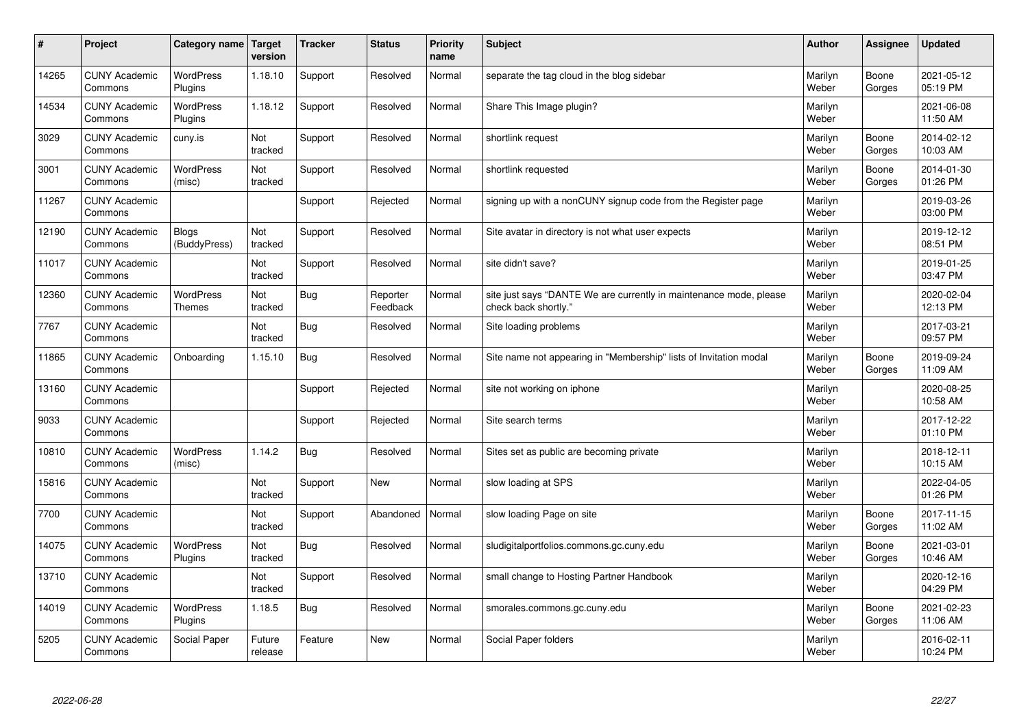| #     | Project                         | Category name   Target       | version           | <b>Tracker</b> | <b>Status</b>        | Priority<br>name | <b>Subject</b>                                                                             | <b>Author</b>    | <b>Assignee</b> | <b>Updated</b>         |
|-------|---------------------------------|------------------------------|-------------------|----------------|----------------------|------------------|--------------------------------------------------------------------------------------------|------------------|-----------------|------------------------|
| 14265 | <b>CUNY Academic</b><br>Commons | <b>WordPress</b><br>Plugins  | 1.18.10           | Support        | Resolved             | Normal           | separate the tag cloud in the blog sidebar                                                 | Marilyn<br>Weber | Boone<br>Gorges | 2021-05-12<br>05:19 PM |
| 14534 | <b>CUNY Academic</b><br>Commons | <b>WordPress</b><br>Plugins  | 1.18.12           | Support        | Resolved             | Normal           | Share This Image plugin?                                                                   | Marilyn<br>Weber |                 | 2021-06-08<br>11:50 AM |
| 3029  | <b>CUNY Academic</b><br>Commons | cuny.is                      | Not<br>tracked    | Support        | Resolved             | Normal           | shortlink request                                                                          | Marilyn<br>Weber | Boone<br>Gorges | 2014-02-12<br>10:03 AM |
| 3001  | <b>CUNY Academic</b><br>Commons | WordPress<br>(misc)          | Not<br>tracked    | Support        | Resolved             | Normal           | shortlink requested                                                                        | Marilyn<br>Weber | Boone<br>Gorges | 2014-01-30<br>01:26 PM |
| 11267 | <b>CUNY Academic</b><br>Commons |                              |                   | Support        | Rejected             | Normal           | signing up with a nonCUNY signup code from the Register page                               | Marilyn<br>Weber |                 | 2019-03-26<br>03:00 PM |
| 12190 | <b>CUNY Academic</b><br>Commons | <b>Blogs</b><br>(BuddyPress) | Not<br>tracked    | Support        | Resolved             | Normal           | Site avatar in directory is not what user expects                                          | Marilyn<br>Weber |                 | 2019-12-12<br>08:51 PM |
| 11017 | <b>CUNY Academic</b><br>Commons |                              | Not<br>tracked    | Support        | Resolved             | Normal           | site didn't save?                                                                          | Marilyn<br>Weber |                 | 2019-01-25<br>03:47 PM |
| 12360 | <b>CUNY Academic</b><br>Commons | WordPress<br><b>Themes</b>   | Not<br>tracked    | Bug            | Reporter<br>Feedback | Normal           | site just says "DANTE We are currently in maintenance mode, please<br>check back shortly." | Marilyn<br>Weber |                 | 2020-02-04<br>12:13 PM |
| 7767  | <b>CUNY Academic</b><br>Commons |                              | Not<br>tracked    | <b>Bug</b>     | Resolved             | Normal           | Site loading problems                                                                      | Marilyn<br>Weber |                 | 2017-03-21<br>09:57 PM |
| 11865 | <b>CUNY Academic</b><br>Commons | Onboarding                   | 1.15.10           | <b>Bug</b>     | Resolved             | Normal           | Site name not appearing in "Membership" lists of Invitation modal                          | Marilyn<br>Weber | Boone<br>Gorges | 2019-09-24<br>11:09 AM |
| 13160 | <b>CUNY Academic</b><br>Commons |                              |                   | Support        | Rejected             | Normal           | site not working on iphone                                                                 | Marilyn<br>Weber |                 | 2020-08-25<br>10:58 AM |
| 9033  | <b>CUNY Academic</b><br>Commons |                              |                   | Support        | Rejected             | Normal           | Site search terms                                                                          | Marilyn<br>Weber |                 | 2017-12-22<br>01:10 PM |
| 10810 | <b>CUNY Academic</b><br>Commons | <b>WordPress</b><br>(misc)   | 1.14.2            | <b>Bug</b>     | Resolved             | Normal           | Sites set as public are becoming private                                                   | Marilyn<br>Weber |                 | 2018-12-11<br>10:15 AM |
| 15816 | <b>CUNY Academic</b><br>Commons |                              | Not<br>tracked    | Support        | New                  | Normal           | slow loading at SPS                                                                        | Marilyn<br>Weber |                 | 2022-04-05<br>01:26 PM |
| 7700  | <b>CUNY Academic</b><br>Commons |                              | Not<br>tracked    | Support        | Abandoned            | Normal           | slow loading Page on site                                                                  | Marilyn<br>Weber | Boone<br>Gorges | 2017-11-15<br>11:02 AM |
| 14075 | <b>CUNY Academic</b><br>Commons | WordPress<br>Plugins         | Not<br>tracked    | Bug            | Resolved             | Normal           | sludigitalportfolios.commons.gc.cuny.edu                                                   | Marilyn<br>Weber | Boone<br>Gorges | 2021-03-01<br>10:46 AM |
| 13710 | <b>CUNY Academic</b><br>Commons |                              | Not<br>tracked    | Support        | Resolved             | Normal           | small change to Hosting Partner Handbook                                                   | Marilyn<br>Weber |                 | 2020-12-16<br>04:29 PM |
| 14019 | <b>CUNY Academic</b><br>Commons | <b>WordPress</b><br>Plugins  | 1.18.5            | <b>Bug</b>     | Resolved             | Normal           | smorales.commons.gc.cuny.edu                                                               | Marilyn<br>Weber | Boone<br>Gorges | 2021-02-23<br>11:06 AM |
| 5205  | <b>CUNY Academic</b><br>Commons | Social Paper                 | Future<br>release | Feature        | <b>New</b>           | Normal           | Social Paper folders                                                                       | Marilyn<br>Weber |                 | 2016-02-11<br>10:24 PM |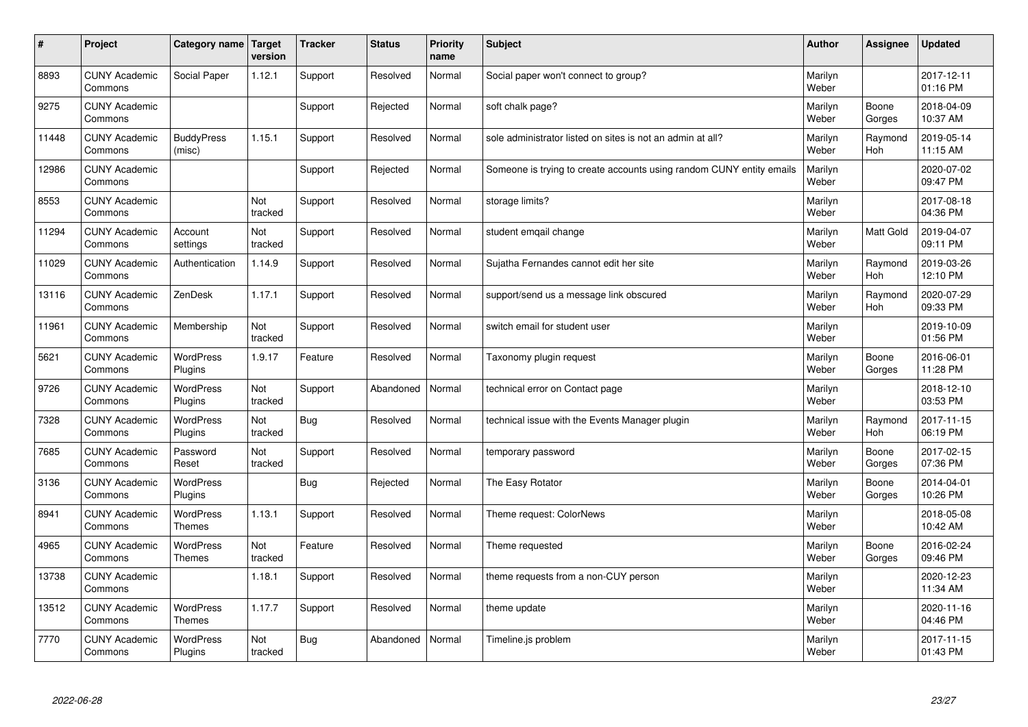| $\#$  | Project                         | Category name                     | Target<br>version | <b>Tracker</b> | <b>Status</b> | <b>Priority</b><br>name | <b>Subject</b>                                                       | <b>Author</b>    | Assignee        | <b>Updated</b>         |
|-------|---------------------------------|-----------------------------------|-------------------|----------------|---------------|-------------------------|----------------------------------------------------------------------|------------------|-----------------|------------------------|
| 8893  | <b>CUNY Academic</b><br>Commons | Social Paper                      | 1.12.1            | Support        | Resolved      | Normal                  | Social paper won't connect to group?                                 | Marilyn<br>Weber |                 | 2017-12-11<br>01:16 PM |
| 9275  | <b>CUNY Academic</b><br>Commons |                                   |                   | Support        | Rejected      | Normal                  | soft chalk page?                                                     | Marilyn<br>Weber | Boone<br>Gorges | 2018-04-09<br>10:37 AM |
| 11448 | <b>CUNY Academic</b><br>Commons | <b>BuddyPress</b><br>(misc)       | 1.15.1            | Support        | Resolved      | Normal                  | sole administrator listed on sites is not an admin at all?           | Marilyn<br>Weber | Raymond<br>Hoh  | 2019-05-14<br>11:15 AM |
| 12986 | <b>CUNY Academic</b><br>Commons |                                   |                   | Support        | Rejected      | Normal                  | Someone is trying to create accounts using random CUNY entity emails | Marilyn<br>Weber |                 | 2020-07-02<br>09:47 PM |
| 8553  | <b>CUNY Academic</b><br>Commons |                                   | Not<br>tracked    | Support        | Resolved      | Normal                  | storage limits?                                                      | Marilyn<br>Weber |                 | 2017-08-18<br>04:36 PM |
| 11294 | <b>CUNY Academic</b><br>Commons | Account<br>settings               | Not<br>tracked    | Support        | Resolved      | Normal                  | student emgail change                                                | Marilyn<br>Weber | Matt Gold       | 2019-04-07<br>09:11 PM |
| 11029 | <b>CUNY Academic</b><br>Commons | Authentication                    | 1.14.9            | Support        | Resolved      | Normal                  | Sujatha Fernandes cannot edit her site                               | Marilyn<br>Weber | Raymond<br>Hoh  | 2019-03-26<br>12:10 PM |
| 13116 | <b>CUNY Academic</b><br>Commons | ZenDesk                           | 1.17.1            | Support        | Resolved      | Normal                  | support/send us a message link obscured                              | Marilyn<br>Weber | Raymond<br>Hoh  | 2020-07-29<br>09:33 PM |
| 11961 | <b>CUNY Academic</b><br>Commons | Membership                        | Not<br>tracked    | Support        | Resolved      | Normal                  | switch email for student user                                        | Marilyn<br>Weber |                 | 2019-10-09<br>01:56 PM |
| 5621  | <b>CUNY Academic</b><br>Commons | <b>WordPress</b><br>Plugins       | 1.9.17            | Feature        | Resolved      | Normal                  | Taxonomy plugin request                                              | Marilyn<br>Weber | Boone<br>Gorges | 2016-06-01<br>11:28 PM |
| 9726  | <b>CUNY Academic</b><br>Commons | <b>WordPress</b><br>Plugins       | Not<br>tracked    | Support        | Abandoned     | Normal                  | technical error on Contact page                                      | Marilyn<br>Weber |                 | 2018-12-10<br>03:53 PM |
| 7328  | <b>CUNY Academic</b><br>Commons | <b>WordPress</b><br>Plugins       | Not<br>tracked    | <b>Bug</b>     | Resolved      | Normal                  | technical issue with the Events Manager plugin                       | Marilyn<br>Weber | Raymond<br>Hoh  | 2017-11-15<br>06:19 PM |
| 7685  | <b>CUNY Academic</b><br>Commons | Password<br>Reset                 | Not<br>tracked    | Support        | Resolved      | Normal                  | temporary password                                                   | Marilyn<br>Weber | Boone<br>Gorges | 2017-02-15<br>07:36 PM |
| 3136  | <b>CUNY Academic</b><br>Commons | WordPress<br>Plugins              |                   | <b>Bug</b>     | Rejected      | Normal                  | The Easy Rotator                                                     | Marilyn<br>Weber | Boone<br>Gorges | 2014-04-01<br>10:26 PM |
| 8941  | <b>CUNY Academic</b><br>Commons | WordPress<br><b>Themes</b>        | 1.13.1            | Support        | Resolved      | Normal                  | Theme request: ColorNews                                             | Marilyn<br>Weber |                 | 2018-05-08<br>10:42 AM |
| 4965  | <b>CUNY Academic</b><br>Commons | <b>WordPress</b><br><b>Themes</b> | Not<br>tracked    | Feature        | Resolved      | Normal                  | Theme requested                                                      | Marilyn<br>Weber | Boone<br>Gorges | 2016-02-24<br>09:46 PM |
| 13738 | <b>CUNY Academic</b><br>Commons |                                   | 1.18.1            | Support        | Resolved      | Normal                  | theme requests from a non-CUY person                                 | Marilyn<br>Weber |                 | 2020-12-23<br>11:34 AM |
| 13512 | <b>CUNY Academic</b><br>Commons | <b>WordPress</b><br><b>Themes</b> | 1.17.7            | Support        | Resolved      | Normal                  | theme update                                                         | Marilyn<br>Weber |                 | 2020-11-16<br>04:46 PM |
| 7770  | <b>CUNY Academic</b><br>Commons | <b>WordPress</b><br>Plugins       | Not<br>tracked    | Bug            | Abandoned     | Normal                  | Timeline.js problem                                                  | Marilyn<br>Weber |                 | 2017-11-15<br>01:43 PM |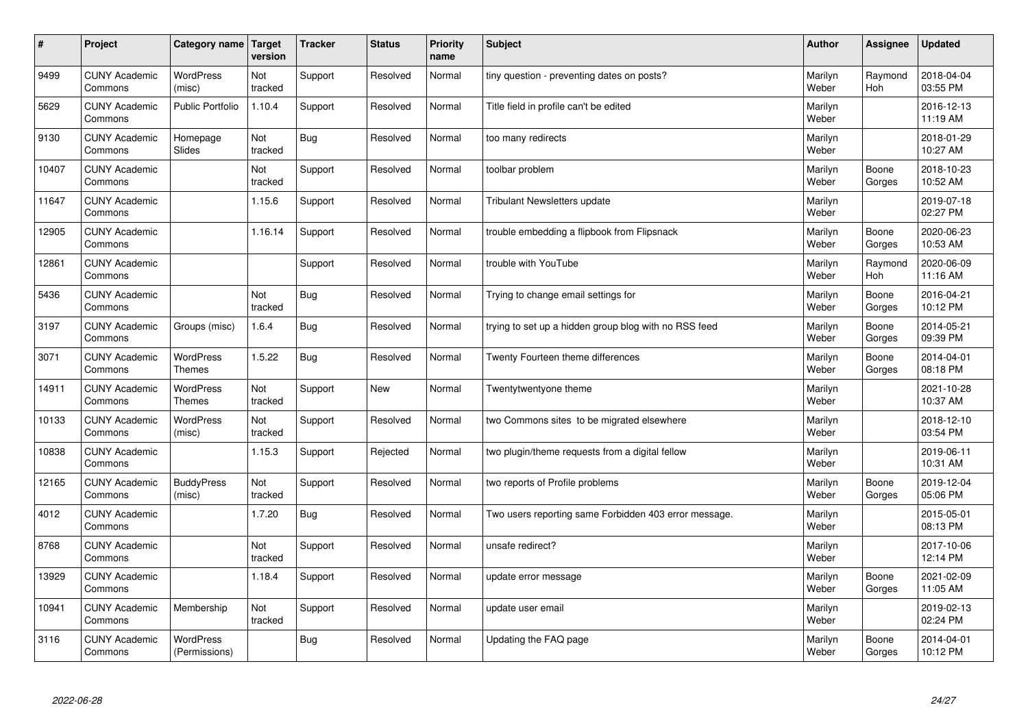| $\sharp$ | Project                         | Category name                     | Target<br>version | <b>Tracker</b> | <b>Status</b> | <b>Priority</b><br>name | <b>Subject</b>                                        | <b>Author</b>    | Assignee              | <b>Updated</b>         |
|----------|---------------------------------|-----------------------------------|-------------------|----------------|---------------|-------------------------|-------------------------------------------------------|------------------|-----------------------|------------------------|
| 9499     | <b>CUNY Academic</b><br>Commons | <b>WordPress</b><br>(misc)        | Not<br>tracked    | Support        | Resolved      | Normal                  | tiny question - preventing dates on posts?            | Marilyn<br>Weber | Raymond<br><b>Hoh</b> | 2018-04-04<br>03:55 PM |
| 5629     | <b>CUNY Academic</b><br>Commons | <b>Public Portfolio</b>           | 1.10.4            | Support        | Resolved      | Normal                  | Title field in profile can't be edited                | Marilyn<br>Weber |                       | 2016-12-13<br>11:19 AM |
| 9130     | <b>CUNY Academic</b><br>Commons | Homepage<br>Slides                | Not<br>tracked    | <b>Bug</b>     | Resolved      | Normal                  | too many redirects                                    | Marilyn<br>Weber |                       | 2018-01-29<br>10:27 AM |
| 10407    | <b>CUNY Academic</b><br>Commons |                                   | Not<br>tracked    | Support        | Resolved      | Normal                  | toolbar problem                                       | Marilyn<br>Weber | Boone<br>Gorges       | 2018-10-23<br>10:52 AM |
| 11647    | <b>CUNY Academic</b><br>Commons |                                   | 1.15.6            | Support        | Resolved      | Normal                  | <b>Tribulant Newsletters update</b>                   | Marilyn<br>Weber |                       | 2019-07-18<br>02:27 PM |
| 12905    | <b>CUNY Academic</b><br>Commons |                                   | 1.16.14           | Support        | Resolved      | Normal                  | trouble embedding a flipbook from Flipsnack           | Marilyn<br>Weber | Boone<br>Gorges       | 2020-06-23<br>10:53 AM |
| 12861    | <b>CUNY Academic</b><br>Commons |                                   |                   | Support        | Resolved      | Normal                  | trouble with YouTube                                  | Marilyn<br>Weber | Raymond<br>Hoh        | 2020-06-09<br>11:16 AM |
| 5436     | <b>CUNY Academic</b><br>Commons |                                   | Not<br>tracked    | Bug            | Resolved      | Normal                  | Trying to change email settings for                   | Marilyn<br>Weber | Boone<br>Gorges       | 2016-04-21<br>10:12 PM |
| 3197     | <b>CUNY Academic</b><br>Commons | Groups (misc)                     | 1.6.4             | Bug            | Resolved      | Normal                  | trying to set up a hidden group blog with no RSS feed | Marilyn<br>Weber | Boone<br>Gorges       | 2014-05-21<br>09:39 PM |
| 3071     | <b>CUNY Academic</b><br>Commons | WordPress<br><b>Themes</b>        | 1.5.22            | <b>Bug</b>     | Resolved      | Normal                  | Twenty Fourteen theme differences                     | Marilyn<br>Weber | Boone<br>Gorges       | 2014-04-01<br>08:18 PM |
| 14911    | <b>CUNY Academic</b><br>Commons | WordPress<br><b>Themes</b>        | Not<br>tracked    | Support        | New           | Normal                  | Twentytwentyone theme                                 | Marilyn<br>Weber |                       | 2021-10-28<br>10:37 AM |
| 10133    | <b>CUNY Academic</b><br>Commons | <b>WordPress</b><br>(misc)        | Not<br>tracked    | Support        | Resolved      | Normal                  | two Commons sites to be migrated elsewhere            | Marilyn<br>Weber |                       | 2018-12-10<br>03:54 PM |
| 10838    | <b>CUNY Academic</b><br>Commons |                                   | 1.15.3            | Support        | Rejected      | Normal                  | two plugin/theme requests from a digital fellow       | Marilyn<br>Weber |                       | 2019-06-11<br>10:31 AM |
| 12165    | <b>CUNY Academic</b><br>Commons | <b>BuddyPress</b><br>(misc)       | Not<br>tracked    | Support        | Resolved      | Normal                  | two reports of Profile problems                       | Marilyn<br>Weber | Boone<br>Gorges       | 2019-12-04<br>05:06 PM |
| 4012     | <b>CUNY Academic</b><br>Commons |                                   | 1.7.20            | <b>Bug</b>     | Resolved      | Normal                  | Two users reporting same Forbidden 403 error message. | Marilyn<br>Weber |                       | 2015-05-01<br>08:13 PM |
| 8768     | <b>CUNY Academic</b><br>Commons |                                   | Not<br>tracked    | Support        | Resolved      | Normal                  | unsafe redirect?                                      | Marilyn<br>Weber |                       | 2017-10-06<br>12:14 PM |
| 13929    | <b>CUNY Academic</b><br>Commons |                                   | 1.18.4            | Support        | Resolved      | Normal                  | update error message                                  | Marilyn<br>Weber | Boone<br>Gorges       | 2021-02-09<br>11:05 AM |
| 10941    | <b>CUNY Academic</b><br>Commons | Membership                        | Not<br>tracked    | Support        | Resolved      | Normal                  | update user email                                     | Marilyn<br>Weber |                       | 2019-02-13<br>02:24 PM |
| 3116     | <b>CUNY Academic</b><br>Commons | <b>WordPress</b><br>(Permissions) |                   | <b>Bug</b>     | Resolved      | Normal                  | Updating the FAQ page                                 | Marilyn<br>Weber | Boone<br>Gorges       | 2014-04-01<br>10:12 PM |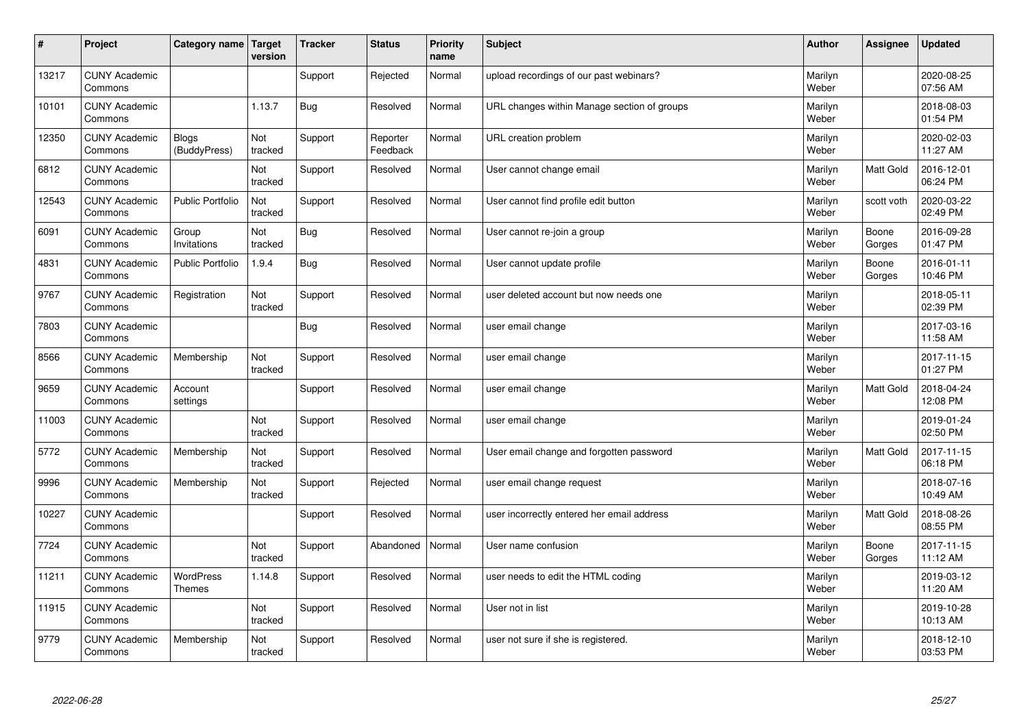| #     | Project                         | Category name                | Target<br>version | <b>Tracker</b> | <b>Status</b>        | <b>Priority</b><br>name | <b>Subject</b>                              | <b>Author</b>    | Assignee         | <b>Updated</b>         |
|-------|---------------------------------|------------------------------|-------------------|----------------|----------------------|-------------------------|---------------------------------------------|------------------|------------------|------------------------|
| 13217 | <b>CUNY Academic</b><br>Commons |                              |                   | Support        | Rejected             | Normal                  | upload recordings of our past webinars?     | Marilyn<br>Weber |                  | 2020-08-25<br>07:56 AM |
| 10101 | <b>CUNY Academic</b><br>Commons |                              | 1.13.7            | Bug            | Resolved             | Normal                  | URL changes within Manage section of groups | Marilyn<br>Weber |                  | 2018-08-03<br>01:54 PM |
| 12350 | <b>CUNY Academic</b><br>Commons | <b>Blogs</b><br>(BuddyPress) | Not<br>tracked    | Support        | Reporter<br>Feedback | Normal                  | URL creation problem                        | Marilyn<br>Weber |                  | 2020-02-03<br>11:27 AM |
| 6812  | <b>CUNY Academic</b><br>Commons |                              | Not<br>tracked    | Support        | Resolved             | Normal                  | User cannot change email                    | Marilyn<br>Weber | Matt Gold        | 2016-12-01<br>06:24 PM |
| 12543 | <b>CUNY Academic</b><br>Commons | <b>Public Portfolio</b>      | Not<br>tracked    | Support        | Resolved             | Normal                  | User cannot find profile edit button        | Marilyn<br>Weber | scott voth       | 2020-03-22<br>02:49 PM |
| 6091  | <b>CUNY Academic</b><br>Commons | Group<br>Invitations         | Not<br>tracked    | <b>Bug</b>     | Resolved             | Normal                  | User cannot re-join a group                 | Marilyn<br>Weber | Boone<br>Gorges  | 2016-09-28<br>01:47 PM |
| 4831  | <b>CUNY Academic</b><br>Commons | <b>Public Portfolio</b>      | 1.9.4             | Bug            | Resolved             | Normal                  | User cannot update profile                  | Marilyn<br>Weber | Boone<br>Gorges  | 2016-01-11<br>10:46 PM |
| 9767  | <b>CUNY Academic</b><br>Commons | Registration                 | Not<br>tracked    | Support        | Resolved             | Normal                  | user deleted account but now needs one      | Marilyn<br>Weber |                  | 2018-05-11<br>02:39 PM |
| 7803  | <b>CUNY Academic</b><br>Commons |                              |                   | Bug            | Resolved             | Normal                  | user email change                           | Marilyn<br>Weber |                  | 2017-03-16<br>11:58 AM |
| 8566  | <b>CUNY Academic</b><br>Commons | Membership                   | Not<br>tracked    | Support        | Resolved             | Normal                  | user email change                           | Marilyn<br>Weber |                  | 2017-11-15<br>01:27 PM |
| 9659  | <b>CUNY Academic</b><br>Commons | Account<br>settings          |                   | Support        | Resolved             | Normal                  | user email change                           | Marilyn<br>Weber | Matt Gold        | 2018-04-24<br>12:08 PM |
| 11003 | <b>CUNY Academic</b><br>Commons |                              | Not<br>tracked    | Support        | Resolved             | Normal                  | user email change                           | Marilyn<br>Weber |                  | 2019-01-24<br>02:50 PM |
| 5772  | <b>CUNY Academic</b><br>Commons | Membership                   | Not<br>tracked    | Support        | Resolved             | Normal                  | User email change and forgotten password    | Marilyn<br>Weber | <b>Matt Gold</b> | 2017-11-15<br>06:18 PM |
| 9996  | <b>CUNY Academic</b><br>Commons | Membership                   | Not<br>tracked    | Support        | Rejected             | Normal                  | user email change request                   | Marilyn<br>Weber |                  | 2018-07-16<br>10:49 AM |
| 10227 | <b>CUNY Academic</b><br>Commons |                              |                   | Support        | Resolved             | Normal                  | user incorrectly entered her email address  | Marilyn<br>Weber | Matt Gold        | 2018-08-26<br>08:55 PM |
| 7724  | <b>CUNY Academic</b><br>Commons |                              | Not<br>tracked    | Support        | Abandoned            | Normal                  | User name confusion                         | Marilyn<br>Weber | Boone<br>Gorges  | 2017-11-15<br>11:12 AM |
| 11211 | <b>CUNY Academic</b><br>Commons | WordPress<br><b>Themes</b>   | 1.14.8            | Support        | Resolved             | Normal                  | user needs to edit the HTML coding          | Marilyn<br>Weber |                  | 2019-03-12<br>11:20 AM |
| 11915 | <b>CUNY Academic</b><br>Commons |                              | Not<br>tracked    | Support        | Resolved             | Normal                  | User not in list                            | Marilyn<br>Weber |                  | 2019-10-28<br>10:13 AM |
| 9779  | <b>CUNY Academic</b><br>Commons | Membership                   | Not<br>tracked    | Support        | Resolved             | Normal                  | user not sure if she is registered.         | Marilyn<br>Weber |                  | 2018-12-10<br>03:53 PM |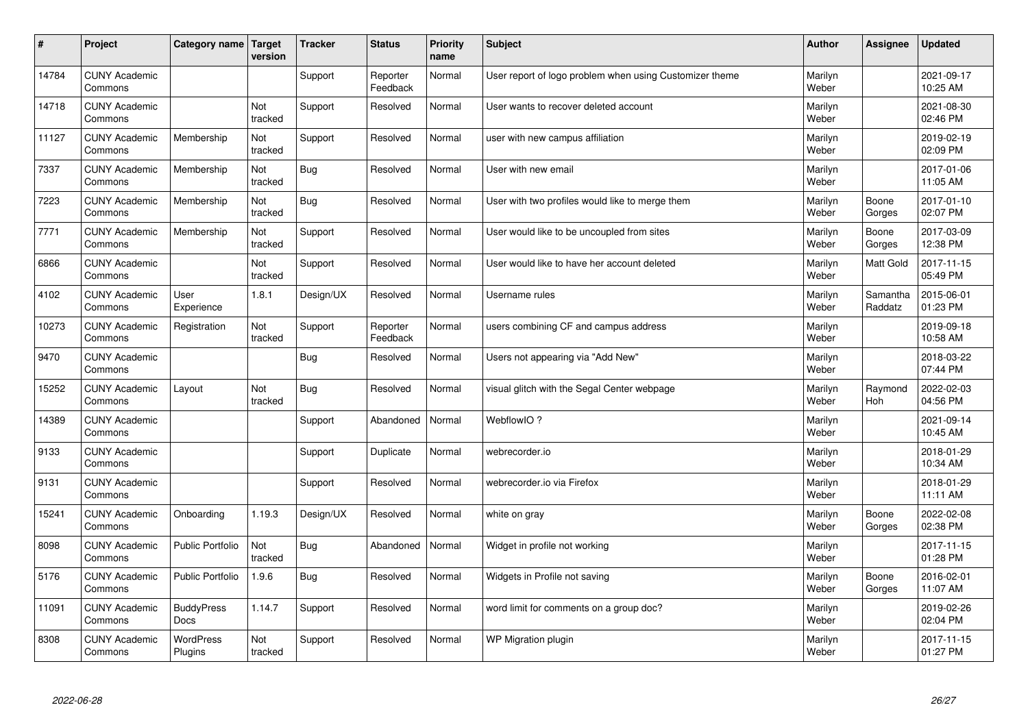| $\sharp$ | Project                         | Category name   Target      | version        | <b>Tracker</b> | <b>Status</b>        | <b>Priority</b><br>name | <b>Subject</b>                                          | <b>Author</b>    | Assignee            | <b>Updated</b>         |
|----------|---------------------------------|-----------------------------|----------------|----------------|----------------------|-------------------------|---------------------------------------------------------|------------------|---------------------|------------------------|
| 14784    | <b>CUNY Academic</b><br>Commons |                             |                | Support        | Reporter<br>Feedback | Normal                  | User report of logo problem when using Customizer theme | Marilyn<br>Weber |                     | 2021-09-17<br>10:25 AM |
| 14718    | <b>CUNY Academic</b><br>Commons |                             | Not<br>tracked | Support        | Resolved             | Normal                  | User wants to recover deleted account                   | Marilyn<br>Weber |                     | 2021-08-30<br>02:46 PM |
| 11127    | <b>CUNY Academic</b><br>Commons | Membership                  | Not<br>tracked | Support        | Resolved             | Normal                  | user with new campus affiliation                        | Marilyn<br>Weber |                     | 2019-02-19<br>02:09 PM |
| 7337     | <b>CUNY Academic</b><br>Commons | Membership                  | Not<br>tracked | Bug            | Resolved             | Normal                  | User with new email                                     | Marilyn<br>Weber |                     | 2017-01-06<br>11:05 AM |
| 7223     | <b>CUNY Academic</b><br>Commons | Membership                  | Not<br>tracked | <b>Bug</b>     | Resolved             | Normal                  | User with two profiles would like to merge them         | Marilyn<br>Weber | Boone<br>Gorges     | 2017-01-10<br>02:07 PM |
| 7771     | <b>CUNY Academic</b><br>Commons | Membership                  | Not<br>tracked | Support        | Resolved             | Normal                  | User would like to be uncoupled from sites              | Marilyn<br>Weber | Boone<br>Gorges     | 2017-03-09<br>12:38 PM |
| 6866     | <b>CUNY Academic</b><br>Commons |                             | Not<br>tracked | Support        | Resolved             | Normal                  | User would like to have her account deleted             | Marilyn<br>Weber | Matt Gold           | 2017-11-15<br>05:49 PM |
| 4102     | <b>CUNY Academic</b><br>Commons | User<br>Experience          | 1.8.1          | Design/UX      | Resolved             | Normal                  | Username rules                                          | Marilyn<br>Weber | Samantha<br>Raddatz | 2015-06-01<br>01:23 PM |
| 10273    | <b>CUNY Academic</b><br>Commons | Registration                | Not<br>tracked | Support        | Reporter<br>Feedback | Normal                  | users combining CF and campus address                   | Marilyn<br>Weber |                     | 2019-09-18<br>10:58 AM |
| 9470     | <b>CUNY Academic</b><br>Commons |                             |                | Bug            | Resolved             | Normal                  | Users not appearing via "Add New"                       | Marilyn<br>Weber |                     | 2018-03-22<br>07:44 PM |
| 15252    | <b>CUNY Academic</b><br>Commons | Layout                      | Not<br>tracked | <b>Bug</b>     | Resolved             | Normal                  | visual glitch with the Segal Center webpage             | Marilyn<br>Weber | Raymond<br>Hoh      | 2022-02-03<br>04:56 PM |
| 14389    | <b>CUNY Academic</b><br>Commons |                             |                | Support        | Abandoned            | Normal                  | WebflowIO?                                              | Marilyn<br>Weber |                     | 2021-09-14<br>10:45 AM |
| 9133     | <b>CUNY Academic</b><br>Commons |                             |                | Support        | Duplicate            | Normal                  | webrecorder.io                                          | Marilyn<br>Weber |                     | 2018-01-29<br>10:34 AM |
| 9131     | <b>CUNY Academic</b><br>Commons |                             |                | Support        | Resolved             | Normal                  | webrecorder.io via Firefox                              | Marilyn<br>Weber |                     | 2018-01-29<br>11:11 AM |
| 15241    | <b>CUNY Academic</b><br>Commons | Onboarding                  | 1.19.3         | Design/UX      | Resolved             | Normal                  | white on gray                                           | Marilyn<br>Weber | Boone<br>Gorges     | 2022-02-08<br>02:38 PM |
| 8098     | <b>CUNY Academic</b><br>Commons | <b>Public Portfolio</b>     | Not<br>tracked | Bug            | Abandoned            | Normal                  | Widget in profile not working                           | Marilyn<br>Weber |                     | 2017-11-15<br>01:28 PM |
| 5176     | <b>CUNY Academic</b><br>Commons | <b>Public Portfolio</b>     | 1.9.6          | Bug            | Resolved             | Normal                  | Widgets in Profile not saving                           | Marilyn<br>Weber | Boone<br>Gorges     | 2016-02-01<br>11:07 AM |
| 11091    | <b>CUNY Academic</b><br>Commons | <b>BuddyPress</b><br>Docs   | 1.14.7         | Support        | Resolved             | Normal                  | word limit for comments on a group doc?                 | Marilyn<br>Weber |                     | 2019-02-26<br>02:04 PM |
| 8308     | <b>CUNY Academic</b><br>Commons | <b>WordPress</b><br>Plugins | Not<br>tracked | Support        | Resolved             | Normal                  | WP Migration plugin                                     | Marilyn<br>Weber |                     | 2017-11-15<br>01:27 PM |